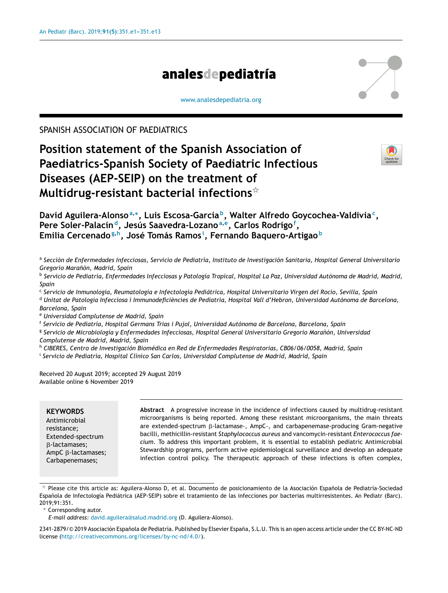# analesdepediatría



[www.analesdepediatria.org](http://www.analesdepediatria.org)

SPANISH ASSOCIATION OF PAEDIATRICS

# **Position statement of the Spanish Association of Paediatrics-Spanish Society of Paediatric Infectious Diseases (AEP-SEIP) on the treatment of Multidrug-resistant bacterial infections**-



**David Aguilera-Alonso<sup>a</sup>**,<sup>∗</sup> **, Luis Escosa-García <sup>b</sup> , Walter Alfredo Goycochea-Valdivia<sup>c</sup> , Pere Soler-Palacín<sup>d</sup> , Jesús Saavedra-Lozano<sup>a</sup>**,**<sup>e</sup> , Carlos Rodrigo<sup>f</sup> , Emilia Cercenado<sup>g</sup>**,**<sup>h</sup> , José Tomás Ramos <sup>i</sup> , Fernando Baquero-Artigao <sup>b</sup>**

ª Sección de Enfermedades Infecciosas, Servicio de Pediatría, Instituto de Investigación Sanitaria, Hospital General Universitario *Gregorio Maranón, ˜ Madrid, Spain*

<sup>b</sup> Servicio de Pediatría, Enfermedades Infecciosas y Patología Tropical, Hospital La Paz, Universidad Autónoma de Madrid, Madrid, *Spain*

c *Servicio de Inmunología, Reumatología e Infectología Pediátrica, Hospital Universitario Virgen del Rocío, Sevilla, Spain* <sup>d</sup> Unitat de Patologia Infecciosa i Immunodeficiències de Pediatria, Hospital Vall d'Hebron, Universidad Autónoma de Barcelona, *Barcelona, Spain*

<sup>e</sup> *Universidad Complutense de Madrid, Spain*

f *Servicio de Pediatría, Hospital Germans Trias i Pujol, Universidad Autónoma de Barcelona, Barcelona, Spain*

g *Servicio de Microbiología y Enfermedades Infecciosas, Hospital General Universitario Gregorio Maranón, ˜ Universidad Complutense de Madrid, Madrid, Spain*

<sup>h</sup> *CIBERES, Centro de Investigación Biomédica en Red de Enfermedades Respiratorias, CB06/06/0058, Madrid, Spain*

i *Servicio de Pediatría, Hospital Clínico San Carlos, Universidad Complutense de Madrid, Madrid, Spain*

Received 20 August 2019; accepted 29 August 2019 Available online 6 November 2019

# **KEYWORDS**

Antimicrobial resistance; Extended-spectrum --lactamases; AmpC β-lactamases; Carbapenemases;

**Abstract** A progressive increase in the incidence of infections caused by multidrug-resistant microorganisms is being reported. Among these resistant microorganisms, the main threats are extended-spectrum  $\beta$ -lactamase-, AmpC-, and carbapenemase-producing Gram-negative bacilli, methicillin-resistant *Staphylococcus aureus* and vancomycin-resistant *Enterococcus faecium*. To address this important problem, it is essential to establish pediatric Antimicrobial Stewardship programs, perform active epidemiological surveillance and develop an adequate infection control policy. The therapeutic approach of these infections is often complex,

<sup>∗</sup> Corresponding autor.

*E-mail address:* [david.aguilera@salud.madrid.org](mailto:david.aguilera@salud.madrid.org) (D. Aguilera-Alonso).

 $^{\star}$  Please cite this article as: Aguilera-Alonso D, et al. Documento de posicionamiento de la Asociación Española de Pediatría-Sociedad Española de Infectología Pediátrica (AEP-SEIP) sobre el tratamiento de las infecciones por bacterias multirresistentes. An Pediatr (Barc). 2019;91:351.

<sup>2341-2879/© 2019</sup> Asociación Española de Pediatría. Published by Elsevier España, S.L.U. This is an open access article under the CC BY-NC-ND license (<http://creativecommons.org/licenses/by-nc-nd/4.0/>).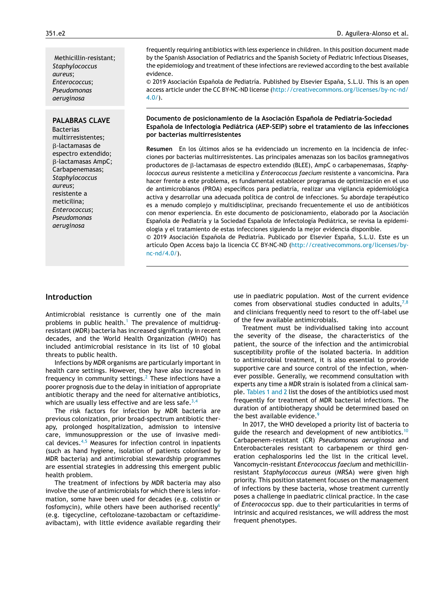Methicillin-resistant; *Staphylococcus aureus*; *Enterococcus*; *Pseudomonas aeruginosa*

## **PALABRAS CLAVE**

**Bacterias** multirresistentes; --lactamasas de espectro extendido; --lactamasas AmpC; Carbapenemasas; *Staphylococcus aureus*; resistente a meticilina; *Enterococcus*; *Pseudomonas aeruginosa*

frequently requiring antibiotics with less experience in children. In this position document made by the Spanish Association of Pediatrics and the Spanish Society of Pediatric Infectious Diseases, the epidemiology and treatment of these infections are reviewed according to the best available evidence.

© 2019 Asociación Española de Pediatría. Published by Elsevier España, S.L.U. This is an open access article under the CC BY-NC-ND license [\(http://creativecommons.org/licenses/by-nc-nd/](http://creativecommons.org/licenses/by-nc-nd/4.0/)  $4.0/$ ).

#### **Documento de posicionamiento de la Asociación Espanola ˜ de Pediatría-Sociedad Espanola ˜ de Infectología Pediátrica (AEP-SEIP) sobre el tratamiento de las infecciones por bacterias multirresistentes**

**Resumen** En los últimos años se ha evidenciado un incremento en la incidencia de infecciones por bacterias multirresistentes. Las principales amenazas son los bacilos gramnegativos productores de β-lactamasas de espectro extendido (BLEE), AmpC o carbapenemasas, *Staphylococcus aureus* resistente a meticilina y *Enterococcus faecium* resistente a vancomicina. Para hacer frente a este problema, es fundamental establecer programas de optimización en el uso de antimicrobianos (PROA) específicos para pediatría, realizar una vigilancia epidemiológica activa y desarrollar una adecuada política de control de infecciones. Su abordaje terapéutico es a menudo complejo y multidisciplinar, precisando frecuentemente el uso de antibióticos con menor experiencia. En este documento de posicionamiento, elaborado por la Asociación Española de Pediatría y la Sociedad Española de Infectología Pediátrica, se revisa la epidemiologia y el tratamiento de estas infecciones siguiendo la mejor evidencia disponible.

 $© 2019 Asociación Española de Pediatria. Publicado por Elsevier España, S.L.U. Este es un$ artículo Open Access bajo la licencia CC BY-NC-ND ([http://creativecommons.org/licenses/by](http://creativecommons.org/licenses/by-nc-nd/4.0/)[nc-nd/4.0/\)](http://creativecommons.org/licenses/by-nc-nd/4.0/).

## **Introduction**

Antimicrobial resistance is currently one of the main problems in public health.<sup>[1](#page-11-0)</sup> The prevalence of multidrugresistant (MDR) bacteria has increased significantly in recent decades, and the World Health Organization (WHO) has included antimicrobial resistance in its list of 10 global threats to public health.

Infections by MDR organisms are particularly important in health care settings. However, they have also increased in frequency in community settings.<sup>[2](#page-11-0)</sup> These infections have a poorer prognosis due to the delay in initiation of appropriate antibiotic therapy and the need for alternative antibiotics, which are usually less effective and are less safe.<sup>[3,4](#page-11-0)</sup>

The risk factors for infection by MDR bacteria are previous colonization, prior broad-spectrum antibiotic therapy, prolonged hospitalization, admission to intensive care, immunosuppression or the use of invasive medi-cal devices.<sup>[4,5](#page-11-0)</sup> Measures for infection control in inpatients (such as hand hygiene, isolation of patients colonised by MDR bacteria) and antimicrobial stewardship programmes are essential strategies in addressing this emergent public health problem.

The treatment of infections by MDR bacteria may also involve the use of antimicrobials for which there is less information, some have been used for decades (e.g. colistin or fosfomycin), while others have been authorised recently<sup>[6](#page-11-0)</sup> (e.g. tigecycline, ceftolozane-tazobactam or ceftazidimeavibactam), with little evidence available regarding their

use in paediatric population. Most of the current evidence comes from observational studies conducted in adults,  $7,8$ and clinicians frequently need to resort to the off-label use of the few available antimicrobials.

Treatment must be individualised taking into account the severity of the disease, the characteristics of the patient, the source of the infection and the antimicrobial susceptibility profile of the isolated bacteria. In addition to antimicrobial treatment, it is also essential to provide supportive care and source control of the infection, whenever possible. Generally, we recommend consultation with experts any time a MDR strain is isolated from a clinical sample. [Tables](#page-2-0) 1 and 2 list the doses of the antibiotics used most frequently for treatment of MDR bacterial infections. The duration of antibiotherapy should be determined based on the best available evidence.<sup>[9](#page-11-0)</sup>

In 2017, the WHO developed a priority list of bacteria to guide the research and development of new antibiotics.<sup>[10](#page-11-0)</sup> Carbapenem-resistant (CR) *Pseudomonas aeruginosa* and Enterobacterales resistant to carbapenem or third generation cephalosporins led the list in the critical level. Vancomycin-resistant *Enterococcus faecium* and methicillinresistant *Staphylococcus aureus* (MRSA) were given high priority. This position statement focuses on the management of infections by these bacteria, whose treatment currently poses a challenge in paediatric clinical practice. In the case of *Enterococcus* spp. due to their particularities in terms of intrinsic and acquired resistances, we will address the most frequent phenotypes.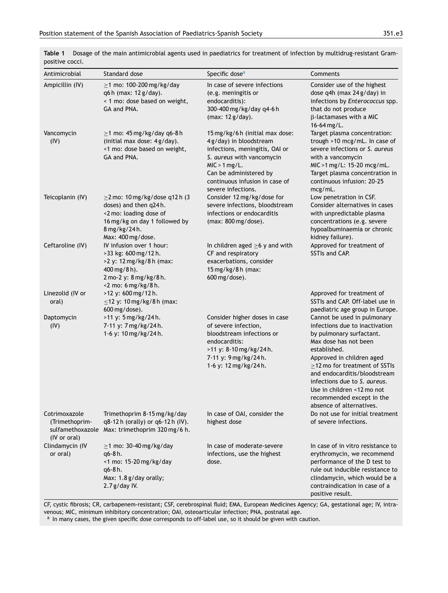| Antimicrobial                                                       | Standard dose                                                                                                                                                | Specific dose <sup>a</sup>                                                                                                                                                                                                  | Comments                                                                                                                                                                                                                                                                                                                                                |
|---------------------------------------------------------------------|--------------------------------------------------------------------------------------------------------------------------------------------------------------|-----------------------------------------------------------------------------------------------------------------------------------------------------------------------------------------------------------------------------|---------------------------------------------------------------------------------------------------------------------------------------------------------------------------------------------------------------------------------------------------------------------------------------------------------------------------------------------------------|
| Ampicillin (IV)                                                     | ≥1 mo: 100-200 mg/kg/day<br>q6 h (max: 12 g/day).<br>< 1 mo: dose based on weight,<br>GA and PNA.                                                            | In case of severe infections<br>(e.g. meningitis or<br>endocarditis):<br>300-400 mg/kg/day q4-6 h<br>(max: 12 g/day).                                                                                                       | Consider use of the highest<br>dose q4h (max 24 g/day) in<br>infections by Enterococcus spp.<br>that do not produce<br>$\beta$ -lactamases with a MIC<br>16-64 mg/L.                                                                                                                                                                                    |
| Vancomycin<br>(IV)                                                  | $\geq$ 1 mo: 45 mg/kg/day q6-8 h<br>(initial max dose: 4g/day).<br><1 mo: dose based on weight,<br>GA and PNA.                                               | 15 mg/kg/6 h (initial max dose:<br>4g/day) in bloodstream<br>infections, meningitis, OAI or<br>S. aureus with vancomycin<br>MIC > 1 mg/L.<br>Can be administered by<br>continuous infusion in case of<br>severe infections. | Target plasma concentration:<br>trough >10 mcg/mL. In case of<br>severe infections or S. aureus<br>with a vancomycin<br>MIC > 1 mg/L: 15-20 mcg/mL.<br>Target plasma concentration in<br>continuous infusion: 20-25<br>mcg/mL.                                                                                                                          |
| Teicoplanin (IV)                                                    | $\geq$ 2 mo: 10 mg/kg/dose q12 h (3<br>doses) and then q24h.<br><2 mo: loading dose of<br>16 mg/kg on day 1 followed by<br>8 mg/kg/24h.<br>Max: 400 mg/dose. | Consider 12 mg/kg/dose for<br>severe infections, bloodstream<br>infections or endocarditis<br>(max: 800 mg/dose).                                                                                                           | Low penetration in CSF.<br>Consider alternatives in cases<br>with unpredictable plasma<br>concentrations (e.g. severe<br>hypoalbuminaemia or chronic<br>kidney failure).                                                                                                                                                                                |
| Ceftaroline (IV)                                                    | IV infusion over 1 hour:<br>>33 kg: 600 mg/12 h.<br>>2 y: 12 mg/kg/8 h (max:<br>400 mg/8h).<br>2 mo-2 y: 8 mg/kg/8 h.<br><2 mo: 6 mg/kg/8h.                  | In children aged $\geq$ 6 y and with<br>CF and respiratory<br>exacerbations, consider<br>15 mg/kg/8 h (max:<br>600 mg/dose).                                                                                                | Approved for treatment of<br>SSTIs and CAP.                                                                                                                                                                                                                                                                                                             |
| Linezolid (IV or<br>oral)                                           | >12 y: 600 mg/12 h.<br>$\leq$ 12 y: 10 mg/kg/8 h (max:<br>600 mg/dose).                                                                                      |                                                                                                                                                                                                                             | Approved for treatment of<br>SSTIs and CAP. Off-label use in<br>paediatric age group in Europe.                                                                                                                                                                                                                                                         |
| Daptomycin<br>(IV)                                                  | >11 y: 5 mg/kg/24 h.<br>7-11 y: 7 mg/kg/24 h.<br>1-6 y: 10 mg/kg/24 h.                                                                                       | Consider higher doses in case<br>of severe infection,<br>bloodstream infections or<br>endocarditis:<br>>11 y: 8-10 mg/kg/24 h.<br>7-11 y: 9 mg/kg/24 h.<br>1-6 y: 12 mg/kg/24 h.                                            | Cannot be used in pulmonary<br>infections due to inactivation<br>by pulmonary surfactant.<br>Max dose has not been<br>established.<br>Approved in children aged<br>≥12 mo for treatment of SSTIs<br>and endocarditis/bloodstream<br>infections due to S. aureus.<br>Use in children <12 mo not<br>recommended except in the<br>absence of alternatives. |
| Cotrimoxazole<br>(Trimethoprim-<br>sulfamethoxazole<br>(IV or oral) | Trimethoprim 8-15 mg/kg/day<br>q8-12 h (orally) or q6-12 h (IV).<br>Max: trimethoprim 320 mg/6 h.                                                            | In case of OAI, consider the<br>highest dose                                                                                                                                                                                | Do not use for initial treatment<br>of severe infections.                                                                                                                                                                                                                                                                                               |
| Clindamycin (IV<br>or oral)                                         | $\geq$ 1 mo: 30-40 mg/kg/day<br>q6-8h.<br><1 mo: 15-20 mg/kg/day<br>q6-8h.<br>Max: 1.8 g/day orally;<br>2.7 g/day IV.                                        | In case of moderate-severe<br>infections, use the highest<br>dose.                                                                                                                                                          | In case of in vitro resistance to<br>erythromycin, we recommend<br>performance of the D test to<br>rule out inducible resistance to<br>clindamycin, which would be a<br>contraindication in case of a<br>positive result.                                                                                                                               |

<span id="page-2-0"></span>**Table 1** Dosage of the main antimicrobial agents used in paediatrics for treatment of infection by multidrug-resistant Grampositive cocci.

CF, cystic fibrosis; CR, carbapenem-resistant; CSF, cerebrospinal fluid; EMA, European Medicines Agency; GA, gestational age; IV, intravenous; MIC, minimum inhibitory concentration; OAI, osteoarticular infection; PNA, postnatal age.

<sup>a</sup> In many cases, the given specific dose corresponds to off-label use, so it should be given with caution.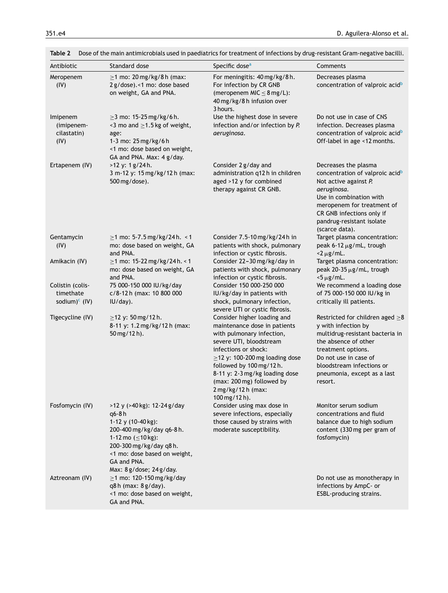| Antibiotic                                        | Standard dose                                                                                                                                                                                       | Specific dose <sup>a</sup>                                                                                                                                                                                                                                                                                            | Comments                                                                                                                                                                                                                                         |
|---------------------------------------------------|-----------------------------------------------------------------------------------------------------------------------------------------------------------------------------------------------------|-----------------------------------------------------------------------------------------------------------------------------------------------------------------------------------------------------------------------------------------------------------------------------------------------------------------------|--------------------------------------------------------------------------------------------------------------------------------------------------------------------------------------------------------------------------------------------------|
| Meropenem<br>(IV)                                 | $\geq$ 1 mo: 20 mg/kg/8 h (max:<br>2 g/dose).<1 mo: dose based<br>on weight, GA and PNA.                                                                                                            | For meningitis: 40 mg/kg/8 h.<br>For infection by CR GNB<br>(meropenem MIC $\leq$ 8 mg/L):<br>40 mg/kg/8h infusion over<br>3 hours.                                                                                                                                                                                   | Decreases plasma<br>concentration of valproic acid <sup>b</sup>                                                                                                                                                                                  |
| Imipenem<br>(imipenem-<br>cilastatin)<br>(IV)     | $\geq$ 3 mo: 15-25 mg/kg/6 h.<br><3 mo and $\geq$ 1.5 kg of weight,<br>age:<br>1-3 mo: 25 mg/kg/6h<br><1 mo: dose based on weight,<br>GA and PNA. Max: 4 g/day.                                     | Use the highest dose in severe<br>infection and/or infection by P.<br>aeruginosa.                                                                                                                                                                                                                                     | Do not use in case of CNS<br>infection. Decreases plasma<br>concentration of valproic acid <sup>b</sup><br>Off-label in age <12 months.                                                                                                          |
| Ertapenem (IV)                                    | $>12$ y: 1 g/24 h.<br>3 m-12 y: 15 mg/kg/12 h (max:<br>500 mg/dose).                                                                                                                                | Consider 2 g/day and<br>administration q12 h in children<br>aged >12 y for combined<br>therapy against CR GNB.                                                                                                                                                                                                        | Decreases the plasma<br>concentration of valproic acid <sup>b</sup><br>Not active against P.<br>aeruginosa.<br>Use in combination with<br>meropenem for treatment of<br>CR GNB infections only if<br>pandrug-resistant isolate<br>(scarce data). |
| Gentamycin<br>(IV)                                | $\geq$ 1 mo: 5-7.5 mg/kg/24 h. < 1<br>mo: dose based on weight, GA<br>and PNA.                                                                                                                      | Consider 7.5-10 mg/kg/24h in<br>patients with shock, pulmonary<br>infection or cystic fibrosis.                                                                                                                                                                                                                       | Target plasma concentration:<br>peak 6-12 µg/mL, trough<br>$<$ 2 $\mu$ g/mL.                                                                                                                                                                     |
| Amikacin (IV)                                     | $\geq$ 1 mo: 15-22 mg/kg/24h. < 1<br>mo: dose based on weight, GA<br>and PNA.                                                                                                                       | Consider 22-30 mg/kg/day in<br>patients with shock, pulmonary<br>infection or cystic fibrosis.                                                                                                                                                                                                                        | Target plasma concentration:<br>peak 20-35 µg/mL, trough<br>$<$ 5 µg/mL.                                                                                                                                                                         |
| Colistin (colis-<br>timethate<br>sodium) $c$ (IV) | 75 000-150 000 IU/kg/day<br>c/8-12 h (max: 10 800 000<br>$IU/day)$ .                                                                                                                                | Consider 150 000-250 000<br>IU/kg/day in patients with<br>shock, pulmonary infection,<br>severe UTI or cystic fibrosis.                                                                                                                                                                                               | We recommend a loading dose<br>of 75 000-150 000 IU/kg in<br>critically ill patients.                                                                                                                                                            |
| Tigecycline (IV)                                  | $\geq$ 12 y: 50 mg/12 h.<br>8-11 y: 1.2 mg/kg/12 h (max:<br>50 mg/12 h).                                                                                                                            | Consider higher loading and<br>maintenance dose in patients<br>with pulmonary infection,<br>severe UTI, bloodstream<br>infections or shock:<br>$\geq$ 12 y: 100-200 mg loading dose<br>followed by 100 mg/12 h.<br>8-11 y: 2-3 mg/kg loading dose<br>(max: 200 mg) followed by<br>2 mg/kg/12 h (max:<br>100 mg/12 h). | Restricted for children aged $\geq 8$<br>y with infection by<br>multidrug-resistant bacteria in<br>the absence of other<br>treatment options.<br>Do not use in case of<br>bloodstream infections or<br>pneumonia, except as a last<br>resort.    |
| Fosfomycin (IV)                                   | >12 y (>40 kg): 12-24 g/day<br>q6-8h<br>1-12 y (10-40 kg):<br>200-400 mg/kg/day q6-8h.<br>1-12 mo $(\leq 10 \text{ kg})$ :<br>200-300 mg/kg/day q8h.<br><1 mo: dose based on weight,<br>GA and PNA. | Consider using max dose in<br>severe infections, especially<br>those caused by strains with<br>moderate susceptibility.                                                                                                                                                                                               | Monitor serum sodium<br>concentrations and fluid<br>balance due to high sodium<br>content (330 mg per gram of<br>fosfomycin)                                                                                                                     |
| Aztreonam (IV)                                    | Max: 8 g/dose; 24 g/day.<br>$\geq$ 1 mo: 120-150 mg/kg/day<br>q8h (max: 8g/day).<br><1 mo: dose based on weight,<br>GA and PNA.                                                                     |                                                                                                                                                                                                                                                                                                                       | Do not use as monotherapy in<br>infections by AmpC- or<br>ESBL-producing strains.                                                                                                                                                                |

<span id="page-3-0"></span>

|  |  |  |  |  |  |  | Table 2 Dose of the main antimicrobials used in paediatrics for treatment of infections by drug-resistant Gram-negative bacilli. |
|--|--|--|--|--|--|--|----------------------------------------------------------------------------------------------------------------------------------|
|--|--|--|--|--|--|--|----------------------------------------------------------------------------------------------------------------------------------|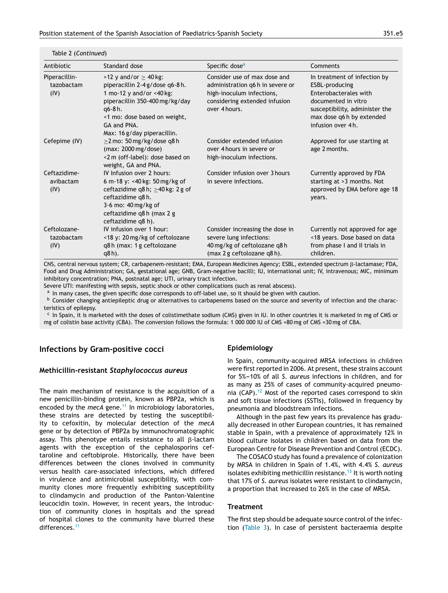<span id="page-4-0"></span>

| Table 2 (Continued)                 |                                                                                                                                                                                                                      |                                                                                                                                                 |                                                                                                                                                                                    |  |  |
|-------------------------------------|----------------------------------------------------------------------------------------------------------------------------------------------------------------------------------------------------------------------|-------------------------------------------------------------------------------------------------------------------------------------------------|------------------------------------------------------------------------------------------------------------------------------------------------------------------------------------|--|--|
| Antibiotic                          | Standard dose                                                                                                                                                                                                        | Specific dose <sup>a</sup>                                                                                                                      | Comments                                                                                                                                                                           |  |  |
| Piperacillin-<br>tazobactam<br>(IV) | >12 y and/or $\geq$ 40 kg:<br>piperacillin 2-4g/dose q6-8h.<br>1 mo-12 y and/or $<$ 40 kg:<br>piperacillin 350-400 mg/kg/day<br>q6-8h.<br><1 mo: dose based on weight,<br>GA and PNA.<br>Max: 16 g/day piperacillin. | Consider use of max dose and<br>administration q6 h in severe or<br>high-inoculum infections,<br>considering extended infusion<br>over 4 hours. | In treatment of infection by<br>ESBL-producing<br>Enterobacterales with<br>documented in vitro<br>susceptibility, administer the<br>max dose g6 h by extended<br>infusion over 4h. |  |  |
| Cefepime (IV)                       | $\geq$ 2 mo: 50 mg/kg/dose q8 h<br>(max: 2000 mg/dose)<br><2 m (off-label): dose based on<br>weight, GA and PNA.                                                                                                     | Consider extended infusion<br>over 4 hours in severe or<br>high-inoculum infections.                                                            | Approved for use starting at<br>age 2 months.                                                                                                                                      |  |  |
| Ceftazidime-<br>avibactam<br>(IV)   | IV Infusion over 2 hours:<br>6 m-18 y: <40 kg: 50 mg/kg of<br>ceftazidime q8 h; $\geq$ 40 kg: 2 g of<br>ceftazidime q8h.<br>3-6 mo: 40 mg/kg of<br>ceftazidime q8h (max 2 g<br>ceftazidime q8 h).                    | Consider infusion over 3 hours<br>in severe infections.                                                                                         | Currently approved by FDA<br>starting at >3 months. Not<br>approved by EMA before age 18<br>years.                                                                                 |  |  |
| Ceftolozane-<br>tazobactam<br>(IV)  | IV infusion over 1 hour:<br><18 y: 20 mg/kg of ceftolozane<br>q8 h (max: 1 g ceftolozane<br>q8 h).                                                                                                                   | Consider increasing the dose in<br>severe lung infections:<br>40 mg/kg of ceftolozane q8h<br>(max 2 g ceftolozane q8 h).                        | Currently not approved for age<br><18 years. Dose based on data<br>from phase I and II trials in<br>children.                                                                      |  |  |

CNS, central nervous system; CR, carbapenem-resistant; EMA, European Medicines Agency; ESBL, extended spectrum β-lactamase; FDA, Food and Drug Administration; GA, gestational age; GNB, Gram-negative bacilli; IU, international unit; IV, intravenous; MIC, minimum inhibitory concentration; PNA, postnatal age; UTI, urinary tract infection.

Severe UTI: manifesting with sepsis, septic shock or other complications (such as renal abscess).

<sup>a</sup> In many cases, the given specific dose corresponds to off-label use, so it should be given with caution.

<sup>b</sup> Consider changing antiepileptic drug or alternatives to carbapenems based on the source and severity of infection and the characteristics of epilepsy.

<sup>c</sup> In Spain, it is marketed with the doses of colistimethate sodium (CMS) given in IU. In other countries it is marketed in mg of CMS or mg of colistin base activity (CBA). The conversion follows the formula: 1 000 000 IU of CMS =80 mg of CMS =30 mg of CBA.

# **Infections by Gram-positive cocci**

## **Methicillin-resistant** *Staphylococcus aureus*

The main mechanism of resistance is the acquisition of a new penicillin-binding protein, known as PBP2a, which is encoded by the *mecA* gene.<sup>[11](#page-11-0)</sup> In microbiology laboratories, these strains are detected by testing the susceptibility to cefoxitin, by molecular detection of the *mecA* gene or by detection of PBP2a by immunochromatographic assay. This phenotype entails resistance to all  $\beta$ -lactam agents with the exception of the cephalosporins ceftaroline and ceftobiprole. Historically, there have been differences between the clones involved in community versus health care-associated infections, which differed in virulence and antimicrobial susceptibility, with community clones more frequently exhibiting susceptibility to clindamycin and production of the Panton-Valentine leucocidin toxin. However, in recent years, the introduction of community clones in hospitals and the spread of hospital clones to the community have blurred these differences.<sup>[11](#page-11-0)</sup>

## **Epidemiology**

In Spain, community-acquired MRSA infections in children were first reported in 2006. At present, these strains account for 5%-10% of all *S. aureus* infections in children, and for as many as 25% of cases of community-acquired pneumo-nia (CAP).<sup>[12](#page-11-0)</sup> Most of the reported cases correspond to skin and soft tissue infections (SSTIs), followed in frequency by pneumonia and bloodstream infections.

Although in the past few years its prevalence has gradually decreased in other European countries, it has remained stable in Spain, with a prevalence of approximately 12% in blood culture isolates in children based on data from the European Centre for Disease Prevention and Control (ECDC).

The COSACO study has found a prevalence of colonization by MRSA in children in Spain of 1.4%, with 4.4% *S. aureus* isolates exhibiting methicillin resistance.<sup>[13](#page-11-0)</sup> It is worth noting that 17% of *S. aureus* isolates were resistant to clindamycin, a proportion that increased to 26% in the case of MRSA.

#### **Treatment**

The first step should be adequate source control of the infection ([Table](#page-5-0) 3). In case of persistent bacteraemia despite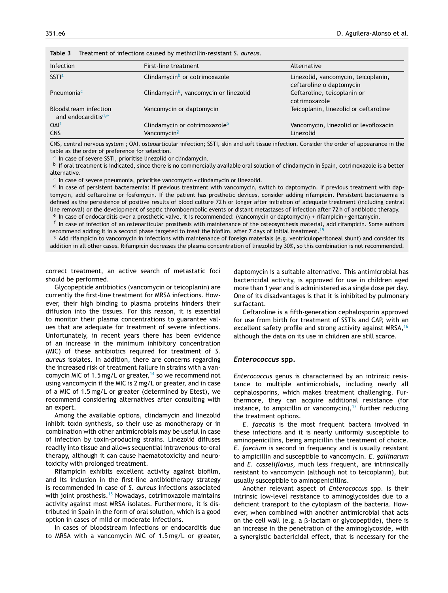<span id="page-5-0"></span>

|  |  | Table 3 Treatment of infections caused by methicillin-resistant S. aureus. |  |  |  |  |
|--|--|----------------------------------------------------------------------------|--|--|--|--|
|--|--|----------------------------------------------------------------------------|--|--|--|--|

| <b>Infection</b>                                         | First-line treatment                               | Alternative                                                     |
|----------------------------------------------------------|----------------------------------------------------|-----------------------------------------------------------------|
| <b>SSTI<sup>a</sup></b>                                  | Clindamycin <sup>b</sup> or cotrimoxazole          | Linezolid, vancomycin, teicoplanin,<br>ceftaroline o daptomycin |
| Pneumonia <sup>c</sup>                                   | Clindamycin <sup>b</sup> , vancomycin or linezolid | Ceftaroline, teicoplanin or<br>cotrimoxazole                    |
| Bloodstream infection<br>and endocarditis <sup>d,e</sup> | Vancomycin or daptomycin                           | Teicoplanin, linezolid or ceftaroline                           |
| OAI <sup>f</sup>                                         | Clindamycin or cotrimoxazole <sup>b</sup>          | Vancomycin, linezolid or levofloxacin                           |
| <b>CNS</b>                                               | Vancomycin <sup>g</sup>                            | Linezolid                                                       |

CNS, central nervous system ; OAI, osteoarticular infection; SSTI, skin and soft tissue infection. Consider the order of appearance in the table as the order of preference for selection.

<sup>a</sup> In case of severe SSTI, prioritise linezolid or clindamycin.

 $^{\rm b}$  If oral treatment is indicated, since there is no commercially available oral solution of clindamycin in Spain, cotrimoxazole is a better alternative.

<sup>c</sup> In case of severe pneumonia, prioritise vancomycin + clindamycin or linezolid.

d In case of persistent bacteraemia: if previous treatment with vancomycin, switch to daptomycin. If previous treatment with daptomycin, add ceftaroline or fosfomycin. If the patient has prosthetic devices, consider adding rifampicin. Persistent bacteraemia is defined as the persistence of positive results of blood culture 72 h or longer after initiation of adequate treatment (including central line removal) or the development of septic thromboembolic events or distant metastases of infection after 72 h of antibiotic therapy.

e In case of endocarditis over a prosthetic valve, it is recommended: (vancomycin or daptomycin) + rifampicin + gentamycin.

 $^{\mathsf{f}}$  In case of infection of an osteoarticular prosthesis with maintenance of the osteosynthesis material, add rifampicin. Some authors recommend adding it in a second phase targeted to treat the biofilm, after 7 days of initial treatment.[15](#page-11-0)

<sup>g</sup> Add rifampicin to vancomycin in infections with maintenance of foreign materials (e.g. ventriculoperitoneal shunt) and consider its addition in all other cases. Rifampicin decreases the plasma concentration of linezolid by 30%, so this combination is not recommended.

correct treatment, an active search of metastatic foci should be performed.

Glycopeptide antibiotics (vancomycin or teicoplanin) are currently the first-line treatment for MRSA infections. However, their high binding to plasma proteins hinders their diffusion into the tissues. For this reason, it is essential to monitor their plasma concentrations to guarantee values that are adequate for treatment of severe infections. Unfortunately, in recent years there has been evidence of an increase in the minimum inhibitory concentration (MIC) of these antibiotics required for treatment of *S. aureus* isolates. In addition, there are concerns regarding the increased risk of treatment failure in strains with a vancomycin MIC of 1.5 mg/L or greater,  $14$  so we recommend not using vancomycin if the MIC is 2 mg/L or greater, and in case of a MIC of 1.5 mg/L or greater (determined by Etest), we recommend considering alternatives after consulting with an expert.

Among the available options, clindamycin and linezolid inhibit toxin synthesis, so their use as monotherapy or in combination with other antimicrobials may be useful in case of infection by toxin-producing strains. Linezolid diffuses readily into tissue and allows sequential intravenous-to-oral therapy, although it can cause haematotoxicity and neurotoxicity with prolonged treatment.

Rifampicin exhibits excellent activity against biofilm, and its inclusion in the first-line antibiotherapy strategy is recommended in case of *S. aureus* infections associated with joint prosthesis.<sup>[15](#page-11-0)</sup> Nowadays, cotrimoxazole maintains activity against most MRSA isolates. Furthermore, it is distributed in Spain in the form of oral solution, which is a good option in cases of mild or moderate infections.

In cases of bloodstream infections or endocarditis due to MRSA with a vancomycin MIC of 1.5 mg/L or greater, daptomycin is a suitable alternative. This antimicrobial has bactericidal activity, is approved for use in children aged more than 1 year and is administered as a single dose per day. One of its disadvantages is that it is inhibited by pulmonary surfactant.

Ceftaroline is a fifth-generation cephalosporin approved for use from birth for treatment of SSTIs and CAP, with an excellent safety profile and strong activity against MRSA,<sup>[16](#page-11-0)</sup> although the data on its use in children are still scarce.

#### *Enterococcus* **spp.**

*Enterococcus* genus is characterised by an intrinsic resistance to multiple antimicrobials, including nearly all cephalosporins, which makes treatment challenging. Furthermore, they can acquire additional resistance (for instance, to ampicillin or vancomycin), $17$  further reducing the treatment options.

*E. faecalis* is the most frequent bactera involved in these infections and it is nearly uniformly susceptible to aminopenicillins, being ampicillin the treatment of choice. *E. faecium* is second in frequency and is usually resistant to ampicillin and susceptible to vancomycin. *E. gallinarum* and *E. casseliflavus*, much less frequent, are intrinsically resistant to vancomycin (although not to teicoplanin), but usually susceptible to aminopenicillins.

Another relevant aspect of *Enterococcus* spp. is their intrinsic low-level resistance to aminoglycosides due to a deficient transport to the cytoplasm of the bacteria. However, when combined with another antimicrobial that acts on the cell wall (e.g. a  $\beta$ -lactam or glycopeptide), there is an increase in the penetration of the aminoglycoside, with a synergistic bactericidal effect, that is necessary for the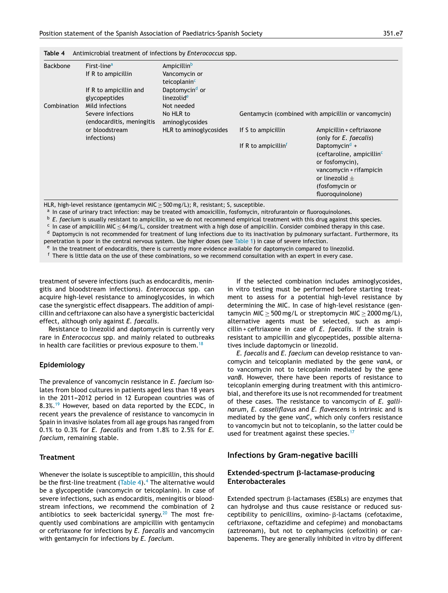| <b>Backbone</b> | First-line <sup>a</sup>   | Ampicillin <sup>b</sup>    |                                 |                                                     |
|-----------------|---------------------------|----------------------------|---------------------------------|-----------------------------------------------------|
|                 | If R to ampicillin        | Vancomycin or              |                                 |                                                     |
|                 |                           | teicoplanin <sup>c</sup>   |                                 |                                                     |
|                 | If R to ampicillin and    | Daptomycin <sup>d</sup> or |                                 |                                                     |
|                 | glycopeptides             | linezolid <sup>e</sup>     |                                 |                                                     |
| Combination     | Mild infections           | Not needed                 |                                 |                                                     |
|                 | Severe infections         | No HLR to                  |                                 | Gentamycin (combined with ampicillin or vancomycin) |
|                 | (endocarditis, meningitis | aminoglycosides            |                                 |                                                     |
|                 | or bloodstream            | HLR to aminoglycosides     | If S to ampicillin              | Ampicillin + ceftriaxone                            |
|                 | infections)               |                            |                                 | (only for E. faecalis)                              |
|                 |                           |                            | If R to ampicillin <sup>f</sup> | Daptomycin <sup>d</sup> +                           |
|                 |                           |                            |                                 | (ceftaroline, ampicillin <sup>c</sup>               |
|                 |                           |                            |                                 | or fosfomycin),                                     |
|                 |                           |                            |                                 | vancomycin + rifampicin                             |
|                 |                           |                            |                                 | or linezolid $\pm$                                  |
|                 |                           |                            |                                 | (fosfomycin or                                      |
|                 |                           |                            |                                 | fluoroquinolone)                                    |

HLR, high-level resistance (gentamycin MIC  $\geq$  500 mg/L); R, resistant; S, susceptible.

a In case of urinary tract infection: may be treated with amoxicillin, fosfomycin, nitrofurantoin or fluoroquinolones.

<sup>b</sup> *E. faecium* is usually resistant to ampicillin, so we do not recommend empirical treatment with this drug against this species.

 $c$  In case of ampicillin MIC  $\leq$  64 mg/L, consider treatment with a high dose of ampicillin. Consider combined therapy in this case.

<sup>d</sup> Daptomycin is not recommended for treatment of lung infections due to its inactivation by pulmonary surfactant. Furthermore, its penetration is poor in the central nervous system. Use higher doses (see [Table](#page-2-0) 1) in case of severe infection.

e In the treatment of endocarditis, there is currently more evidence available for daptomycin compared to linezolid.

<sup>f</sup> There is little data on the use of these combinations, so we recommend consultation with an expert in every case.

treatment of severe infections (such as endocarditis, meningitis and bloodstream infections). *Enterococcus* spp. can acquire high-level resistance to aminoglycosides, in which case the synergistic effect disappears. The addition of ampicillin and ceftriaxone can also have a synergistic bactericidal effect, although only against *E. faecalis*.

Resistance to linezolid and daptomycin is currently very rare in *Enterococcus* spp. and mainly related to outbreaks in health care facilities or previous exposure to them.<sup>[18](#page-11-0)</sup>

## **Epidemiology**

The prevalence of vancomycin resistance in *E. faecium* isolates from blood cultures in patients aged less than 18 years in the 2011-2012 period in 12 European countries was of 8.3%.<sup>[19](#page-11-0)</sup> However, based on data reported by the ECDC, in recent years the prevalence of resistance to vancomycin in Spain in invasive isolates from all age groups has ranged from 0.1% to 0.3% for *E. faecalis* and from 1.8% to 2.5% for *E. faecium*, remaining stable.

## **Treatment**

Whenever the isolate is susceptible to ampicillin, this should be the first-line treatment  $(Table 4)$  $(Table 4)$  $(Table 4)$ .<sup>4</sup> The alternative would be a glycopeptide (vancomycin or teicoplanin). In case of severe infections, such as endocarditis, meningitis or bloodstream infections, we recommend the combination of 2 antibiotics to seek bactericidal synergy.<sup>[20](#page-11-0)</sup> The most frequently used combinations are ampicillin with gentamycin or ceftriaxone for infections by *E. faecalis* and vancomycin with gentamycin for infections by *E. faecium*.

If the selected combination includes aminoglycosides, in vitro testing must be performed before starting treatment to assess for a potential high-level resistance by determining the MIC. In case of high-level resistance (gentamycin MIC  $\geq$  500 mg/L or streptomycin MIC  $\geq$  2000 mg/L), alternative agents must be selected, such as ampicillin + ceftriaxone in case of *E. faecalis.* If the strain is resistant to ampicillin and glycopeptides, possible alternatives include daptomycin or linezolid.

*E. faecalis* and *E. faecium* can develop resistance to vancomycin and teicoplanin mediated by the gene *vanA,* or to vancomycin not to teicoplanin mediated by the gene *vanB*. However, there have been reports of resistance to teicoplanin emerging during treatment with this antimicrobial, and therefore its use is not recommended for treatment of these cases. The resistance to vancomycin of *E. gallinarum*, *E. casseliflavus* and *E. flavescens* is intrinsic and is mediated by the gene *vanC*, which only confers resistance to vancomycin but not to teicoplanin, so the latter could be used for treatment against these species. $17$ 

## **Infections by Gram-negative bacilli**

## **Extended-spectrum β-lactamase-producing Enterobacterales**

Extended spectrum  $\beta$ -lactamases (ESBLs) are enzymes that can hydrolyse and thus cause resistance or reduced susceptibility to penicillins, oximino- $\beta$ -lactams (cefotaxime, ceftriaxone, ceftazidime and cefepime) and monobactams (aztreonam), but not to cephamycins (cefoxitin) or carbapenems. They are generally inhibited in vitro by different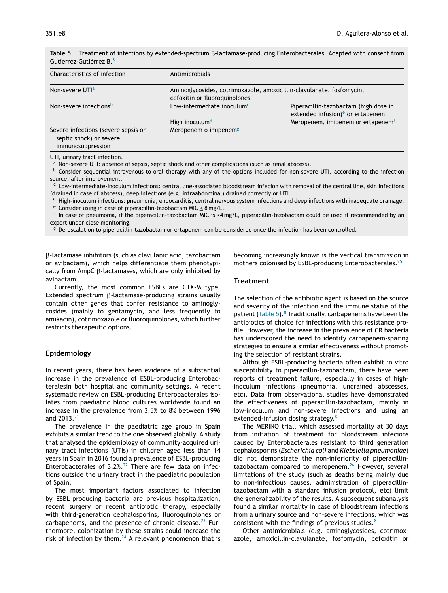| Characteristics of infection                                                        | Antimicrobials                                                                                        |                                                                              |
|-------------------------------------------------------------------------------------|-------------------------------------------------------------------------------------------------------|------------------------------------------------------------------------------|
| Non-severe UTI <sup>a</sup>                                                         | Aminoglycosides, cotrimoxazole, amoxicillin-clavulanate, fosfomycin,<br>cefoxitin or fluoroquinolones |                                                                              |
| Non-severe infections <sup>b</sup>                                                  | Low-intermediate inoculum <sup>c</sup>                                                                | Piperacillin-tazobactam (high dose in<br>extended infusion) $e$ or ertapenem |
|                                                                                     | High inoculum <sup>d</sup>                                                                            | Meropenem, imipenem or ertapenem <sup>f</sup>                                |
| Severe infections (severe sepsis or<br>septic shock) or severe<br>immunosuppression | Meropenem o imipenem <sup>g</sup>                                                                     |                                                                              |

<span id="page-7-0"></span> ${\sf Table~5}$  – Treatment of infections by extended-spectrum  $\beta$ -lactamase-producing Enterobacterales. Adapted with consent from Gutierrez-Gutiérrez B.<sup>[8](#page-11-0)</sup>

UTI, urinary tract infection.

a Non-severe UTI: absence of sepsis, septic shock and other complications (such as renal abscess).

<sup>b</sup> Consider sequential intravenous-to-oral therapy with any of the options included for non-severe UTI, according to the infection source, after improvement.

 $c$  Low-intermediate-inoculum infections: central line-associated bloodstream infecion with removal of the central line, skin infections (drained in case of abscess), deep infections (e.g. intraabdominal) drained correctly or UTI.

 $\rm d$  High-inoculum infections: pneumonia, endocarditis, central nervous system infections and deep infections with inadequate drainage.

e Consider using in case of piperacillin-tazobactam MIC  $\leq$  8 mg/L.

f In case of pneumonia, if the piperacillin-tazobactam MIC is <4 mg/L, piperacillin-tazobactam could be used if recommended by an expert under close monitoring.

<sup>g</sup> De-escalation to piperacillin-tazobactam or ertapenem can be considered once the infection has been controlled.

--lactamase inhibitors (such as clavulanic acid, tazobactam or avibactam), which helps differentiate them phenotypi $cal$  ally from AmpC  $\beta$ -lactamases, which are only inhibited by avibactam.

Currently, the most common ESBLs are CTX-M type. Extended spectrum  $\beta$ -lactamase-producing strains usually contain other genes that confer resistance to aminoglycosides (mainly to gentamycin, and less frequently to amikacin), cotrimoxazole or fluoroquinolones, which further restricts therapeutic options.

## **Epidemiology**

In recent years, there has been evidence of a substantial increase in the prevalence of ESBL-producing Enterobacteralesin both hospital and community settings. A recent systematic review on ESBL-producing Enterobacterales isolates from paediatric blood cultures worldwide found an increase in the prevalence from 3.5% to 8% between 1996 and  $2013.<sup>21</sup>$  $2013.<sup>21</sup>$  $2013.<sup>21</sup>$ 

The prevalence in the paediatric age group in Spain exhibits a similar trend to the one observed globally. A study that analysed the epidemiology of community-acquired urinary tract infections (UTIs) in children aged less than 14 years in Spain in 2016 found a prevalence of ESBL-producing Enterobacterales of  $3.2\%$ .<sup>[22](#page-11-0)</sup> There are few data on infections outside the urinary tract in the paediatric population of Spain.

The most important factors associated to infection by ESBL-producing bacteria are previous hospitalization, recent surgery or recent antibiotic therapy, especially with third-generation cephalosporins, fluoroquinolones or carbapenems, and the presence of chronic disease. $^{23}$  $^{23}$  $^{23}$  Furthermore, colonization by these strains could increase the risk of infection by them. $24$  A relevant phenomenon that is

becoming increasingly known is the vertical transmission in mothers colonised by ESBL-producing Enterobacterales.<sup>[25](#page-11-0)</sup>

#### **Treatment**

The selection of the antibiotic agent is based on the source and severity of the infection and the immune status of the patient ([T](#page-11-0)able 5). $8$  Traditionally, carbapenems have been the antibiotics of choice for infections with this resistance profile. However, the increase in the prevalence of CR bacteria has underscored the need to identify carbapenem-sparing strategies to ensure a similar effectiveness without promoting the selection of resistant strains.

Although ESBL-producing bacteria often exhibit in vitro susceptibility to piperacillin-tazobactam, there have been reports of treatment failure, especially in cases of highinoculum infections (pneumonia, undrained abscesses, etc). Data from observational studies have demonstrated the effectiveness of piperacillin-tazobactam, mainly in low-inoculum and non-severe infections and using an extended-infusion dosing strategy.<sup>[8](#page-11-0)</sup>

The MERINO trial, which assessed mortality at 30 days from initiation of treatment for bloodstream infecions caused by Enterobacterales resistant to third generation cephalosporins (*Escherichia coli* and *Klebsiella pneumoniae*) did not demonstrate the non-inferiority of piperacillintazobactam compared to meropenem. $26$  However, several limitations of the study (such as deaths being mainly due to non-infectious causes, administration of piperacillintazobactam with a standard infusion protocol, etc) limit the generalizability of the results. A subsequent subanalysis found a similar mortality in case of bloodstream infections from a urinary source and non-severe infections, which was consistent with the findings of previous studies. $8$ 

Other antimicrobials (e.g. aminoglycosides, cotrimoxazole, amoxicillin-clavulanate, fosfomycin, cefoxitin or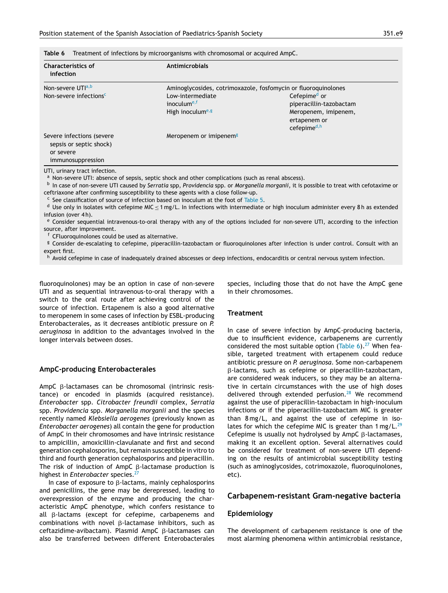**Table 6** Treatment of infections by microorganisms with chromosomal or acquired AmpC.

| <b>Characteristics of</b><br>infection                                                 | <b>Antimicrobials</b>                                          |                          |  |
|----------------------------------------------------------------------------------------|----------------------------------------------------------------|--------------------------|--|
| Non-severe UTIa,b                                                                      | Aminoglycosides, cotrimoxazole, fosfomycin or fluoroquinolones |                          |  |
| Non-severe infections <sup><math>c</math></sup>                                        | Low-intermediate                                               | Cefepime <sup>d</sup> or |  |
|                                                                                        | inoculum <sup>e,f</sup>                                        | piperacillin-tazobactam  |  |
|                                                                                        | High inoculum <sup>e, g</sup>                                  | Meropenem, imipenem,     |  |
|                                                                                        |                                                                | ertapenem or             |  |
|                                                                                        |                                                                | cefepime <sup>d,h</sup>  |  |
| Severe infections (severe<br>sepsis or septic shock)<br>or severe<br>immunosuppression | Meropenem or imipenem <sup>g</sup>                             |                          |  |

UTI, urinary tract infection.

a Non-severe UTI: absence of sepsis, septic shock and other complications (such as renal abscess).

b In case of non-severe UTI caused by *Serratia* spp, *Providencia* spp. or *Morganella morganii*, it is possible to treat with cefotaxime or ceftriaxone after confirming susceptibility to these agents with a close follow-up.

c See classification of source of infection based on inoculum at the foot of [Table](#page-7-0) 5.

<sup>d</sup> Use only in isolates with cefepime MIC  $\leq$  1 mg/L. In infections with intermediate or high inoculum administer every 8 h as extended infusion (over 4 h).

<sup>e</sup> Consider sequential intravenous-to-oral therapy with any of the options included for non-severe UTI, according to the infection source, after improvement.

<sup>f</sup> CFluoroquinolones could be used as alternative.

g Consider de-escalating to cefepime, piperacillin-tazobactam or fluoroquinolones after infection is under control. Consult with an expert first.

<sup>h</sup> Avoid cefepime in case of inadequately drained abscesses or deep infections, endocarditis or central nervous system infection.

fluoroquinolones) may be an option in case of non-severe UTI and as sequential intravenous-to-oral therapy with a switch to the oral route after achieving control of the source of infection. Ertapenem is also a good alternative to meropenem in some cases of infection by ESBL-producing Enterobacterales, as it decreases antibiotic pressure on *P. aeruginosa* in addition to the advantages involved in the longer intervals between doses.

#### **AmpC-producing Enterobacterales**

 $AmpC$   $\beta$ -lactamases can be chromosomal (intrinsic resistance) or encoded in plasmids (acquired resistance). *Enterobacter* spp. *Citrobacter freundii* complex, *Serratia* spp. *Providencia* spp. *Morganella morganii* and the species recently named *Klebsiella aerogenes* (previously known as *Enterobacter aerogenes*) all contain the gene for production of AmpC in their chromosomes and have intrinsic resistance to ampicillin, amoxicillin-clavulanate and first and second generation cephalosporins, but remain susceptible in vitro to third and fourth generation cephalosporins and piperacillin. The risk of induction of AmpC  $\beta$ -lactamase production is highest in *Enterobacter* species.<sup>[27](#page-11-0)</sup>

In case of exposure to  $\beta$ -lactams, mainly cephalosporins and penicillins, the gene may be derepressed, leading to overexpression of the enzyme and producing the characteristic AmpC phenotype, which confers resistance to all  $\beta$ -lactams (except for cefepime, carbapenems and combinations with novel  $\beta$ -lactamase inhibitors, such as  $c$ eftazidime-avibactam). Plasmid AmpC  $\beta$ -lactamases can also be transferred between different Enterobacterales species, including those that do not have the AmpC gene in their chromosomes.

#### **Treatment**

In case of severe infection by AmpC-producing bacteria, due to insufficient evidence, carbapenems are currently considered the most suitable option (Table 6).<sup>[27](#page-11-0)</sup> When feasible, targeted treatment with ertapenem could reduce antibiotic pressure on *P. aeruginosa*. Some non-carbapenem --lactams, such as cefepime or piperacillin-tazobactam, are considered weak inducers, so they may be an alternative in certain circumstances with the use of high doses delivered through extended perfusion.<sup>[28](#page-11-0)</sup> We recommend against the use of piperacillin-tazobactam in high-inoculum infections or if the piperacillin-tazobactam MIC is greater than 8 mg/L, and against the use of cefepime in isolates for which the cefepime MIC is greater than  $1 \text{ mg/L.}^{29}$  $1 \text{ mg/L.}^{29}$  $1 \text{ mg/L.}^{29}$ Cefepime is usually not hydrolysed by AmpC  $\beta$ -lactamases, making it an excellent option. Several alternatives could be considered for treatment of non-severe UTI depending on the results of antimicrobial susceptibility testing (such as aminoglycosides, cotrimoxazole, fluoroquinolones, etc).

## **Carbapenem-resistant Gram-negative bacteria**

#### **Epidemiology**

The development of carbapenem resistance is one of the most alarming phenomena within antimicrobial resistance,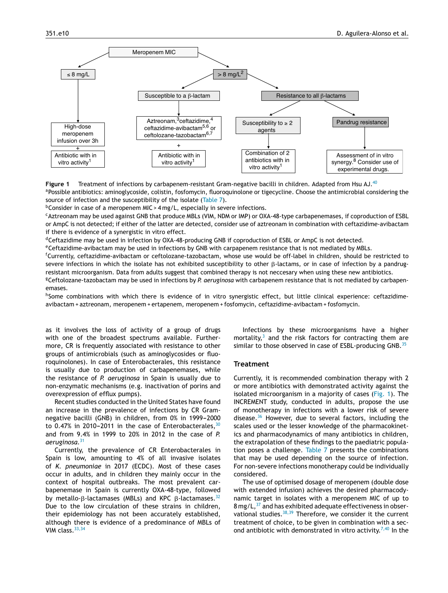<span id="page-9-0"></span>

**Figure 1** Treatment of infections by carbapenem-resistant Gram-negative bacilli in children. Adapted from Hsu AJ.<sup>[40](#page-12-0)</sup> aPossible antibiotics: aminoglycoside, colistin, fosfomycin, fluoroquinolone or tigecycline. Choose the antimicrobial considering the source of infection and the susceptibility of the isolate ([Table](#page-10-0) 7).

<sup>b</sup>Consider in case of a meropenem MIC > 4 mg/L, especially in severe infections.

cAztreonam may be used against GNB that produce MBLs (VIM, NDM or IMP) or OXA-48-type carbapenemases, if coproduction of ESBL or AmpC is not detected; if either of the latter are detected, consider use of aztreonam in combination with ceftazidime-avibactam if there is evidence of a synergistic in vitro effect.

<sup>d</sup>Ceftazidime may be used in infection by OXA-48-producing GNB if coproduction of ESBL or AmpC is not detected.

eCeftazidime-avibactam may be used in infections by GNB with carpapenem resistance that is not mediated by MBLs.

<sup>f</sup>Currently, ceftazidime-avibactam or ceftolozane-tazobactam, whose use would be off-label in children, should be restricted to severe infections in which the isolate has not exhibited susceptibility to other ß-lactams, or in case of infection by a pandrugresistant microorganism. Data from adults suggest that combined therapy is not neccesary when using these new antibiotics.

<sup>g</sup>Ceftolozane-tazobactam may be used in infections by *P. aeruginosa* with carbapenem resistance that is not mediated by carbapenemases.

hSome combinations with which there is evidence of in vitro synergistic effect, but little clinical experience: ceftazidimeavibactam + aztreonam, meropenem + ertapenem, meropenem + fosfomycin, ceftazidime-avibactam + fosfomycin.

as it involves the loss of activity of a group of drugs with one of the broadest spectrums available. Furthermore, CR is frequently associated with resistance to other groups of antimicrobials (such as aminoglycosides or fluoroquinolones). In case of Enterobacterales, this resistance is usually due to production of carbapenemases, while the resistance of *P. aeruginosa* in Spain is usually due to non-enzymatic mechanisms (e.g. inactivation of porins and overexpression of efflux pumps).

Recent studies conducted in the United States have found an increase in the prevalence of infections by CR Gramnegative bacilli (GNB) in children, from 0% in 1999-2000 to  $0.47\%$  in 2010-2011 in the case of Enterobacterales,  $30$ and from 9.4% in 1999 to 20% in 2012 in the case of *P. aeruginosa.*[31](#page-12-0)

Currently, the prevalence of CR Enterobacterales in Spain is low, amounting to 4% of all invasive isolates of *K. pneumoniae* in 2017 (ECDC). Most of these cases occur in adults, and in children they mainly occur in the context of hospital outbreaks. The most prevalent carbapenemase in Spain is currently OXA-48-type, followed by metallo- $\beta$ -lactamases (MBLs) and KPC  $\beta$ -lactamases.<sup>[32](#page-12-0)</sup> Due to the low circulation of these strains in children, their epidemiology has not been accurately established, although there is evidence of a predominance of MBLs of VIM class.  $33,34$ 

Infections by these microorganisms have a higher mortality, $3$  and the risk factors for contracting them are similar to those observed in case of ESBL-producing GNB.<sup>[35](#page-12-0)</sup>

#### **Treatment**

Currently, it is recommended combination therapy with 2 or more antibiotics with demonstrated activity against the isolated microorganism in a majority of cases (Fig. 1). The INCREMENT study, conducted in adults, propose the use of monotherapy in infections with a lower risk of severe disease.<sup>[36](#page-12-0)</sup> However, due to several factors, including the scales used or the lesser knowledge of the pharmacokinetics and pharmacodynamics of many antibiotics in children, the extrapolation of these findings to the paediatric population poses a challenge. [Table](#page-10-0) 7 presents the combinations that may be used depending on the source of infection. For non-severe infections monotherapy could be individually considered.

The use of optimised dosage of meropenem (double dose with extended infusion) achieves the desired pharmacodynamic target in isolates with a meropenem MIC of up to  $8 \text{ mg/L},\frac{37}{3}$  $8 \text{ mg/L},\frac{37}{3}$  $8 \text{ mg/L},\frac{37}{3}$  and has exhibited adequate effectiveness in observational studies. $38,39$  Therefore, we consider it the current treatment of choice, to be given in combination with a sec-ond antibiotic with demonstrated in vitro activity.<sup>[7,40](#page-11-0)</sup> In the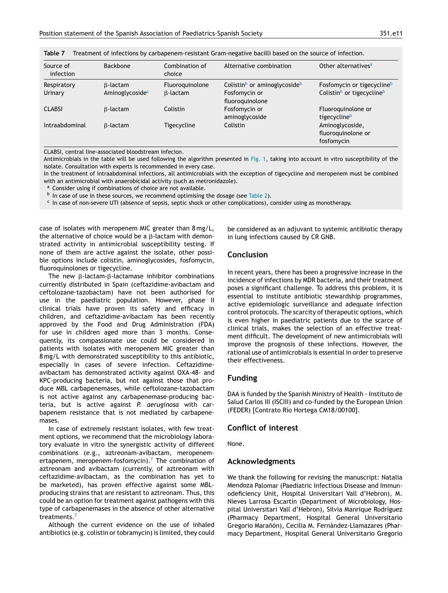| Source of<br>infection | Backbone                    | Combination of<br>choice | Alternative combination                              | Other alternatives <sup>a</sup>                     |
|------------------------|-----------------------------|--------------------------|------------------------------------------------------|-----------------------------------------------------|
| Respiratory            | β-lactam                    | Fluoroquinolone          | Colistin <sup>b</sup> or aminoglycoside <sup>b</sup> | Fosfomycin or tigecycline <sup>b</sup>              |
| Urinary                | Aminoglycoside <sup>c</sup> | <b>B-lactam</b>          | Fosfomycin or<br>fluoroquinolone                     | Colistin <sup>b</sup> or tigecycline <sup>b</sup>   |
| <b>CLABSI</b>          | β-lactam                    | Colistin                 | Fosfomycin or<br>aminoglycoside                      | Fluoroguinolone or<br>tigecyclineb                  |
| Intraabdominal         | β-lactam                    | Tigecycline              | Colistin                                             | Aminoglycoside,<br>fluoroquinolone or<br>fosfomycin |

<span id="page-10-0"></span>**Table 7** Treatment of infections by carbapenem-resistant Gram-negative bacilli based on the source of infection.

CLABSI, central line-associated bloodstream infecion.

Antimicrobials in the table will be used following the algorithm presented in [Fig.](#page-9-0) 1, taking into account in vitro susceptibility of the isolate. Consultation with experts is recommended in every case.

In the treatment of intraabdominal infections, all antimicrobials with the exception of tigecycline and meropenem must be combined with an antimicrobial with anaerobicidal activity (such as metronidazole).

<sup>a</sup> Consider using if combinations of choice are not available.

<sup>b</sup> In case of use in these sources, we recommend optimising the dosage (see [Table](#page-3-0) 2).

c In case of non-severe UTI (absence of sepsis, septic shock or other complications), consider using as monotherapy.

case of isolates with meropenem MIC greater than 8 mg/L, the alternative of choice would be a  $\beta$ -lactam with demonstrated activity in antimicrobial susceptibility testing. If none of them are active against the isolate, other possible options include colistin, aminoglycosides, fosfomycin, fluoroquinolones or tigecycline.

The new  $\beta$ -lactam- $\beta$ -lactamase inhibitor combinations currently distributed in Spain (ceftazidime-avibactam and ceftolozane-tazobactam) have not been authorised for use in the paediatric population. However, phase II clinical trials have proven its safety and efficacy in children, and ceftazidime-avibactam has been recently approved by the Food and Drug Administration (FDA) for use in children aged more than 3 months. Consequently, its compassionate use could be considered in patients with isolates with meropenem MIC greater than 8 mg/L with demonstrated susceptibility to this antibiotic, especially in cases of severe infection. Ceftazidimeavibactam has demonstrated activity against OXA-48- and KPC-producing bacteria, but not against those that produce MBL carbapenemases, while ceftolozane-tazobactam is not active against any carbapenemase-producing bacteria, but is active against *P. aeruginosa* with carbapenem resistance that is not mediated by carbapenemases.

In case of extremely resistant isolates, with few treatment options, we recommend that the microbiology laboratory evaluate in vitro the synergistic activity of different combinations (e.g., aztreonam-avibactam, meropenem-ertapenem, meropenem-fosfomycin).<sup>[7](#page-11-0)</sup> The combination of aztreonam and avibactam (currently, of aztreonam with ceftazidime-avibactam, as the combination has yet to be marketed), has proven effective against some MBLproducing strains that are resistant to aztreonam. Thus, this could be an option for treatment against pathogens with this type of carbapenemases in the absence of other alternative treatments.<sup>[7](#page-11-0)</sup>

Although the current evidence on the use of inhaled antibiotics (e.g. colistin or tobramycin) is limited, they could be considered as an adjuvant to systemic antibiotic therapy in lung infections caused by CR GNB.

## **Conclusion**

In recent years, there has been a progressive increase in the incidence of infections by MDR bacteria, and their treatment poses a significant challenge. To address this problem, it is essential to institute antibiotic stewardship programmes, active epidemiologic surveillance and adequate infection control protocols. The scarcity of therapeutic options, which is even higher in paediatric patients due to the scarce of clinical trials, makes the selection of an effective treatment difficult. The development of new antimicrobials will improve the prognosis of these infections. However, the rational use of antimicrobials is essential in order to preserve their effectiveness.

# **Funding**

DAA is funded by the Spanish Ministry of Health - Instituto de Salud Carlos III (ISCIII) and co-funded by the European Union (FEDER) [Contrato Río Hortega CM18/00100].

## **Conflict of interest**

None.

## **Acknowledgments**

We thank the following for revising the manuscript: Natalia Mendoza Palomar (Paediatric Infectious Disease and Immunodeficiency Unit, Hospital Universitari Vall d'Hebron), M. Nieves Larrosa Escartín (Department of Microbiology, Hospital Universitari Vall d'Hebron), Silvia Manrique Rodríguez (Pharmacy Department, Hospital General Universitario Gregorio Marañón), Cecilia M. Fernández-Llamazares (Pharmacy Department, Hospital General Universitario Gregorio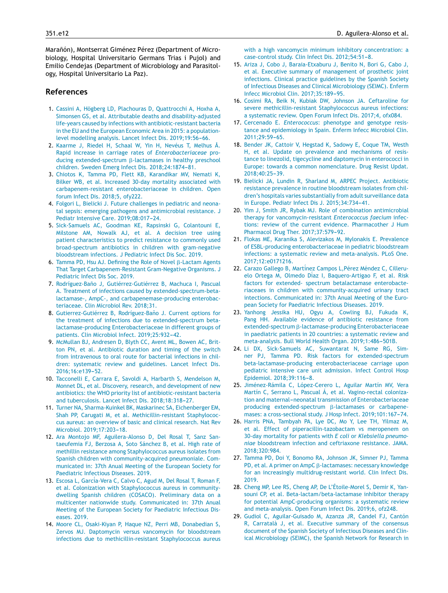<span id="page-11-0"></span>Marañón), Montserrat Giménez Pérez (Department of Microbiology, Hospital Universitario Germans Trias i Pujol) and Emilio Cendejas (Department of Microbiology and Parasitology, Hospital Universitario La Paz).

## **References**

- 1. [Cassini](http://refhub.elsevier.com/S2341-2879(19)30172-3/sbref0005) [A,](http://refhub.elsevier.com/S2341-2879(19)30172-3/sbref0005) [Högberg](http://refhub.elsevier.com/S2341-2879(19)30172-3/sbref0005) [LD,](http://refhub.elsevier.com/S2341-2879(19)30172-3/sbref0005) [Plachouras](http://refhub.elsevier.com/S2341-2879(19)30172-3/sbref0005) [D,](http://refhub.elsevier.com/S2341-2879(19)30172-3/sbref0005) [Quattrocchi](http://refhub.elsevier.com/S2341-2879(19)30172-3/sbref0005) [A,](http://refhub.elsevier.com/S2341-2879(19)30172-3/sbref0005) [Hoxha](http://refhub.elsevier.com/S2341-2879(19)30172-3/sbref0005) [A,](http://refhub.elsevier.com/S2341-2879(19)30172-3/sbref0005) [Simonsen](http://refhub.elsevier.com/S2341-2879(19)30172-3/sbref0005) [GS,](http://refhub.elsevier.com/S2341-2879(19)30172-3/sbref0005) [et](http://refhub.elsevier.com/S2341-2879(19)30172-3/sbref0005) [al.](http://refhub.elsevier.com/S2341-2879(19)30172-3/sbref0005) [Attributable](http://refhub.elsevier.com/S2341-2879(19)30172-3/sbref0005) [deaths](http://refhub.elsevier.com/S2341-2879(19)30172-3/sbref0005) [and](http://refhub.elsevier.com/S2341-2879(19)30172-3/sbref0005) [disability-adjusted](http://refhub.elsevier.com/S2341-2879(19)30172-3/sbref0005) [life-years](http://refhub.elsevier.com/S2341-2879(19)30172-3/sbref0005) [caused](http://refhub.elsevier.com/S2341-2879(19)30172-3/sbref0005) [by](http://refhub.elsevier.com/S2341-2879(19)30172-3/sbref0005) [infections](http://refhub.elsevier.com/S2341-2879(19)30172-3/sbref0005) [with](http://refhub.elsevier.com/S2341-2879(19)30172-3/sbref0005) [antibiotic-resistant](http://refhub.elsevier.com/S2341-2879(19)30172-3/sbref0005) [bacteria](http://refhub.elsevier.com/S2341-2879(19)30172-3/sbref0005) [in](http://refhub.elsevier.com/S2341-2879(19)30172-3/sbref0005) [the](http://refhub.elsevier.com/S2341-2879(19)30172-3/sbref0005) [EU](http://refhub.elsevier.com/S2341-2879(19)30172-3/sbref0005) [and](http://refhub.elsevier.com/S2341-2879(19)30172-3/sbref0005) [the](http://refhub.elsevier.com/S2341-2879(19)30172-3/sbref0005) [European](http://refhub.elsevier.com/S2341-2879(19)30172-3/sbref0005) [Economic](http://refhub.elsevier.com/S2341-2879(19)30172-3/sbref0005) [Area](http://refhub.elsevier.com/S2341-2879(19)30172-3/sbref0005) [in](http://refhub.elsevier.com/S2341-2879(19)30172-3/sbref0005) [2015:](http://refhub.elsevier.com/S2341-2879(19)30172-3/sbref0005) [a](http://refhub.elsevier.com/S2341-2879(19)30172-3/sbref0005) [population](http://refhub.elsevier.com/S2341-2879(19)30172-3/sbref0005)[level](http://refhub.elsevier.com/S2341-2879(19)30172-3/sbref0005) [modelling](http://refhub.elsevier.com/S2341-2879(19)30172-3/sbref0005) [analysis.](http://refhub.elsevier.com/S2341-2879(19)30172-3/sbref0005) [Lancet](http://refhub.elsevier.com/S2341-2879(19)30172-3/sbref0005) [Infect](http://refhub.elsevier.com/S2341-2879(19)30172-3/sbref0005) [Dis.](http://refhub.elsevier.com/S2341-2879(19)30172-3/sbref0005) 2019;19:56-66.
- 2. [Kaarme](http://refhub.elsevier.com/S2341-2879(19)30172-3/sbref0010) [J,](http://refhub.elsevier.com/S2341-2879(19)30172-3/sbref0010) [Riedel](http://refhub.elsevier.com/S2341-2879(19)30172-3/sbref0010) [H,](http://refhub.elsevier.com/S2341-2879(19)30172-3/sbref0010) [Schaal](http://refhub.elsevier.com/S2341-2879(19)30172-3/sbref0010) [W,](http://refhub.elsevier.com/S2341-2879(19)30172-3/sbref0010) [Yin](http://refhub.elsevier.com/S2341-2879(19)30172-3/sbref0010) [H,](http://refhub.elsevier.com/S2341-2879(19)30172-3/sbref0010) [Nevéus](http://refhub.elsevier.com/S2341-2879(19)30172-3/sbref0010) [T,](http://refhub.elsevier.com/S2341-2879(19)30172-3/sbref0010) [Melhus](http://refhub.elsevier.com/S2341-2879(19)30172-3/sbref0010) [Å.](http://refhub.elsevier.com/S2341-2879(19)30172-3/sbref0010) [Rapid](http://refhub.elsevier.com/S2341-2879(19)30172-3/sbref0010) [increase](http://refhub.elsevier.com/S2341-2879(19)30172-3/sbref0010) [in](http://refhub.elsevier.com/S2341-2879(19)30172-3/sbref0010) [carriage](http://refhub.elsevier.com/S2341-2879(19)30172-3/sbref0010) [rates](http://refhub.elsevier.com/S2341-2879(19)30172-3/sbref0010) [of](http://refhub.elsevier.com/S2341-2879(19)30172-3/sbref0010) *[Enterobacteriaceae](http://refhub.elsevier.com/S2341-2879(19)30172-3/sbref0010)* [pro](http://refhub.elsevier.com/S2341-2879(19)30172-3/sbref0010) $ducing$  [extended-spectrum](http://refhub.elsevier.com/S2341-2879(19)30172-3/sbref0010)  $\beta$ [-lactamases](http://refhub.elsevier.com/S2341-2879(19)30172-3/sbref0010) [in](http://refhub.elsevier.com/S2341-2879(19)30172-3/sbref0010) [healthy](http://refhub.elsevier.com/S2341-2879(19)30172-3/sbref0010) [preschool](http://refhub.elsevier.com/S2341-2879(19)30172-3/sbref0010) [children.](http://refhub.elsevier.com/S2341-2879(19)30172-3/sbref0010) [Sweden](http://refhub.elsevier.com/S2341-2879(19)30172-3/sbref0010) [Emerg](http://refhub.elsevier.com/S2341-2879(19)30172-3/sbref0010) [Infect](http://refhub.elsevier.com/S2341-2879(19)30172-3/sbref0010) [Dis.](http://refhub.elsevier.com/S2341-2879(19)30172-3/sbref0010) [2018;24:1874-](http://refhub.elsevier.com/S2341-2879(19)30172-3/sbref0010)[81.](http://refhub.elsevier.com/S2341-2879(19)30172-3/sbref0010)
- 3. [Chiotos](http://refhub.elsevier.com/S2341-2879(19)30172-3/sbref0015) [K,](http://refhub.elsevier.com/S2341-2879(19)30172-3/sbref0015) [Tamma](http://refhub.elsevier.com/S2341-2879(19)30172-3/sbref0015) [PD,](http://refhub.elsevier.com/S2341-2879(19)30172-3/sbref0015) [Flett](http://refhub.elsevier.com/S2341-2879(19)30172-3/sbref0015) [KB,](http://refhub.elsevier.com/S2341-2879(19)30172-3/sbref0015) [Karandikar](http://refhub.elsevier.com/S2341-2879(19)30172-3/sbref0015) [MV,](http://refhub.elsevier.com/S2341-2879(19)30172-3/sbref0015) [Nemati](http://refhub.elsevier.com/S2341-2879(19)30172-3/sbref0015) [K,](http://refhub.elsevier.com/S2341-2879(19)30172-3/sbref0015) [Bilker](http://refhub.elsevier.com/S2341-2879(19)30172-3/sbref0015) [WB,](http://refhub.elsevier.com/S2341-2879(19)30172-3/sbref0015) [et](http://refhub.elsevier.com/S2341-2879(19)30172-3/sbref0015) [al.](http://refhub.elsevier.com/S2341-2879(19)30172-3/sbref0015) [Increased](http://refhub.elsevier.com/S2341-2879(19)30172-3/sbref0015) [30-day](http://refhub.elsevier.com/S2341-2879(19)30172-3/sbref0015) [mortality](http://refhub.elsevier.com/S2341-2879(19)30172-3/sbref0015) [associated](http://refhub.elsevier.com/S2341-2879(19)30172-3/sbref0015) [with](http://refhub.elsevier.com/S2341-2879(19)30172-3/sbref0015) [carbapenem-resistant](http://refhub.elsevier.com/S2341-2879(19)30172-3/sbref0015) [enterobacteriaceae](http://refhub.elsevier.com/S2341-2879(19)30172-3/sbref0015) [in](http://refhub.elsevier.com/S2341-2879(19)30172-3/sbref0015) [children.](http://refhub.elsevier.com/S2341-2879(19)30172-3/sbref0015) [Open](http://refhub.elsevier.com/S2341-2879(19)30172-3/sbref0015) [forum](http://refhub.elsevier.com/S2341-2879(19)30172-3/sbref0015) [Infect](http://refhub.elsevier.com/S2341-2879(19)30172-3/sbref0015) [Dis.](http://refhub.elsevier.com/S2341-2879(19)30172-3/sbref0015) [2018;5,](http://refhub.elsevier.com/S2341-2879(19)30172-3/sbref0015) [ofy222.](http://refhub.elsevier.com/S2341-2879(19)30172-3/sbref0015)
- 4. [Folgori](http://refhub.elsevier.com/S2341-2879(19)30172-3/sbref0020) [L,](http://refhub.elsevier.com/S2341-2879(19)30172-3/sbref0020) [Bielicki](http://refhub.elsevier.com/S2341-2879(19)30172-3/sbref0020) [J.](http://refhub.elsevier.com/S2341-2879(19)30172-3/sbref0020) [Future](http://refhub.elsevier.com/S2341-2879(19)30172-3/sbref0020) [challenges](http://refhub.elsevier.com/S2341-2879(19)30172-3/sbref0020) [in](http://refhub.elsevier.com/S2341-2879(19)30172-3/sbref0020) [pediatric](http://refhub.elsevier.com/S2341-2879(19)30172-3/sbref0020) [and](http://refhub.elsevier.com/S2341-2879(19)30172-3/sbref0020) [neona](http://refhub.elsevier.com/S2341-2879(19)30172-3/sbref0020)[tal](http://refhub.elsevier.com/S2341-2879(19)30172-3/sbref0020) [sepsis:](http://refhub.elsevier.com/S2341-2879(19)30172-3/sbref0020) [emerging](http://refhub.elsevier.com/S2341-2879(19)30172-3/sbref0020) [pathogens](http://refhub.elsevier.com/S2341-2879(19)30172-3/sbref0020) [and](http://refhub.elsevier.com/S2341-2879(19)30172-3/sbref0020) [antimicrobial](http://refhub.elsevier.com/S2341-2879(19)30172-3/sbref0020) [resistance.](http://refhub.elsevier.com/S2341-2879(19)30172-3/sbref0020) [J](http://refhub.elsevier.com/S2341-2879(19)30172-3/sbref0020) [Pediatr](http://refhub.elsevier.com/S2341-2879(19)30172-3/sbref0020) [Intensive](http://refhub.elsevier.com/S2341-2879(19)30172-3/sbref0020) [Care.](http://refhub.elsevier.com/S2341-2879(19)30172-3/sbref0020) 2019;08:017-24.
- 5. [Sick-Samuels](http://refhub.elsevier.com/S2341-2879(19)30172-3/sbref0025) [AC,](http://refhub.elsevier.com/S2341-2879(19)30172-3/sbref0025) [Goodman](http://refhub.elsevier.com/S2341-2879(19)30172-3/sbref0025) [KE,](http://refhub.elsevier.com/S2341-2879(19)30172-3/sbref0025) [Rapsinski](http://refhub.elsevier.com/S2341-2879(19)30172-3/sbref0025) [G,](http://refhub.elsevier.com/S2341-2879(19)30172-3/sbref0025) [Colantouni](http://refhub.elsevier.com/S2341-2879(19)30172-3/sbref0025) [E,](http://refhub.elsevier.com/S2341-2879(19)30172-3/sbref0025) [Milstone](http://refhub.elsevier.com/S2341-2879(19)30172-3/sbref0025) [AM,](http://refhub.elsevier.com/S2341-2879(19)30172-3/sbref0025) [Nowalk](http://refhub.elsevier.com/S2341-2879(19)30172-3/sbref0025) [AJ,](http://refhub.elsevier.com/S2341-2879(19)30172-3/sbref0025) [et](http://refhub.elsevier.com/S2341-2879(19)30172-3/sbref0025) [al.](http://refhub.elsevier.com/S2341-2879(19)30172-3/sbref0025) [A](http://refhub.elsevier.com/S2341-2879(19)30172-3/sbref0025) [decision](http://refhub.elsevier.com/S2341-2879(19)30172-3/sbref0025) [tree](http://refhub.elsevier.com/S2341-2879(19)30172-3/sbref0025) [using](http://refhub.elsevier.com/S2341-2879(19)30172-3/sbref0025) [patient](http://refhub.elsevier.com/S2341-2879(19)30172-3/sbref0025) [characteristics](http://refhub.elsevier.com/S2341-2879(19)30172-3/sbref0025) [to](http://refhub.elsevier.com/S2341-2879(19)30172-3/sbref0025) [predict](http://refhub.elsevier.com/S2341-2879(19)30172-3/sbref0025) [resistance](http://refhub.elsevier.com/S2341-2879(19)30172-3/sbref0025) [to](http://refhub.elsevier.com/S2341-2879(19)30172-3/sbref0025) [commonly](http://refhub.elsevier.com/S2341-2879(19)30172-3/sbref0025) [used](http://refhub.elsevier.com/S2341-2879(19)30172-3/sbref0025) [broad-spectrum](http://refhub.elsevier.com/S2341-2879(19)30172-3/sbref0025) [antibiotics](http://refhub.elsevier.com/S2341-2879(19)30172-3/sbref0025) [in](http://refhub.elsevier.com/S2341-2879(19)30172-3/sbref0025) [children](http://refhub.elsevier.com/S2341-2879(19)30172-3/sbref0025) [with](http://refhub.elsevier.com/S2341-2879(19)30172-3/sbref0025) [gram-negative](http://refhub.elsevier.com/S2341-2879(19)30172-3/sbref0025) [bloodstream](http://refhub.elsevier.com/S2341-2879(19)30172-3/sbref0025) [infections.](http://refhub.elsevier.com/S2341-2879(19)30172-3/sbref0025) [J](http://refhub.elsevier.com/S2341-2879(19)30172-3/sbref0025) [Pediatric](http://refhub.elsevier.com/S2341-2879(19)30172-3/sbref0025) [Infect](http://refhub.elsevier.com/S2341-2879(19)30172-3/sbref0025) [Dis](http://refhub.elsevier.com/S2341-2879(19)30172-3/sbref0025) [Soc.](http://refhub.elsevier.com/S2341-2879(19)30172-3/sbref0025) [2019.](http://refhub.elsevier.com/S2341-2879(19)30172-3/sbref0025)
- 6. [Tamma](http://refhub.elsevier.com/S2341-2879(19)30172-3/sbref0030) [PD,](http://refhub.elsevier.com/S2341-2879(19)30172-3/sbref0030) [Hsu](http://refhub.elsevier.com/S2341-2879(19)30172-3/sbref0030) [AJ.](http://refhub.elsevier.com/S2341-2879(19)30172-3/sbref0030) [Defining](http://refhub.elsevier.com/S2341-2879(19)30172-3/sbref0030) [the](http://refhub.elsevier.com/S2341-2879(19)30172-3/sbref0030) [Role](http://refhub.elsevier.com/S2341-2879(19)30172-3/sbref0030) [of](http://refhub.elsevier.com/S2341-2879(19)30172-3/sbref0030) [Novel](http://refhub.elsevier.com/S2341-2879(19)30172-3/sbref0030)  $\beta$ [-Lactam](http://refhub.elsevier.com/S2341-2879(19)30172-3/sbref0030) [Agents](http://refhub.elsevier.com/S2341-2879(19)30172-3/sbref0030) [That](http://refhub.elsevier.com/S2341-2879(19)30172-3/sbref0030) [Target](http://refhub.elsevier.com/S2341-2879(19)30172-3/sbref0030) [Carbapenem-Resistant](http://refhub.elsevier.com/S2341-2879(19)30172-3/sbref0030) [Gram-Negative](http://refhub.elsevier.com/S2341-2879(19)30172-3/sbref0030) [Organisms.](http://refhub.elsevier.com/S2341-2879(19)30172-3/sbref0030) [J](http://refhub.elsevier.com/S2341-2879(19)30172-3/sbref0030) [Pediatric](http://refhub.elsevier.com/S2341-2879(19)30172-3/sbref0030) [Infect](http://refhub.elsevier.com/S2341-2879(19)30172-3/sbref0030) [Dis](http://refhub.elsevier.com/S2341-2879(19)30172-3/sbref0030) [Soc.](http://refhub.elsevier.com/S2341-2879(19)30172-3/sbref0030) [2019.](http://refhub.elsevier.com/S2341-2879(19)30172-3/sbref0030)
- 7. Rodríguez-Baño [J,](http://refhub.elsevier.com/S2341-2879(19)30172-3/sbref0035) [Gutiérrez-Gutiérrez](http://refhub.elsevier.com/S2341-2879(19)30172-3/sbref0035) [B,](http://refhub.elsevier.com/S2341-2879(19)30172-3/sbref0035) [Machuca](http://refhub.elsevier.com/S2341-2879(19)30172-3/sbref0035) [I,](http://refhub.elsevier.com/S2341-2879(19)30172-3/sbref0035) [Pascual](http://refhub.elsevier.com/S2341-2879(19)30172-3/sbref0035) [A.](http://refhub.elsevier.com/S2341-2879(19)30172-3/sbref0035) [Treatment](http://refhub.elsevier.com/S2341-2879(19)30172-3/sbref0035) [of](http://refhub.elsevier.com/S2341-2879(19)30172-3/sbref0035) [infections](http://refhub.elsevier.com/S2341-2879(19)30172-3/sbref0035) [caused](http://refhub.elsevier.com/S2341-2879(19)30172-3/sbref0035) [by](http://refhub.elsevier.com/S2341-2879(19)30172-3/sbref0035) [extended-spectrum-beta](http://refhub.elsevier.com/S2341-2879(19)30172-3/sbref0035)[lactamase-,](http://refhub.elsevier.com/S2341-2879(19)30172-3/sbref0035) [AmpC-,](http://refhub.elsevier.com/S2341-2879(19)30172-3/sbref0035) [and](http://refhub.elsevier.com/S2341-2879(19)30172-3/sbref0035) [carbapenemase-producing](http://refhub.elsevier.com/S2341-2879(19)30172-3/sbref0035) [enterobac](http://refhub.elsevier.com/S2341-2879(19)30172-3/sbref0035)[teriaceae.](http://refhub.elsevier.com/S2341-2879(19)30172-3/sbref0035) [Clin](http://refhub.elsevier.com/S2341-2879(19)30172-3/sbref0035) [Microbiol](http://refhub.elsevier.com/S2341-2879(19)30172-3/sbref0035) [Rev.](http://refhub.elsevier.com/S2341-2879(19)30172-3/sbref0035) [2018;31.](http://refhub.elsevier.com/S2341-2879(19)30172-3/sbref0035)
- 8. [Gutierrez-Gutiérrez](http://refhub.elsevier.com/S2341-2879(19)30172-3/sbref0040) [B,](http://refhub.elsevier.com/S2341-2879(19)30172-3/sbref0040) Rodríguez-Baño [J.](http://refhub.elsevier.com/S2341-2879(19)30172-3/sbref0040) [Current](http://refhub.elsevier.com/S2341-2879(19)30172-3/sbref0040) [options](http://refhub.elsevier.com/S2341-2879(19)30172-3/sbref0040) [for](http://refhub.elsevier.com/S2341-2879(19)30172-3/sbref0040) [the](http://refhub.elsevier.com/S2341-2879(19)30172-3/sbref0040) [treatment](http://refhub.elsevier.com/S2341-2879(19)30172-3/sbref0040) [of](http://refhub.elsevier.com/S2341-2879(19)30172-3/sbref0040) [infections](http://refhub.elsevier.com/S2341-2879(19)30172-3/sbref0040) [due](http://refhub.elsevier.com/S2341-2879(19)30172-3/sbref0040) [to](http://refhub.elsevier.com/S2341-2879(19)30172-3/sbref0040) [extended-spectrum](http://refhub.elsevier.com/S2341-2879(19)30172-3/sbref0040) [beta](http://refhub.elsevier.com/S2341-2879(19)30172-3/sbref0040)[lactamase-producing](http://refhub.elsevier.com/S2341-2879(19)30172-3/sbref0040) [Enterobacteriaceae](http://refhub.elsevier.com/S2341-2879(19)30172-3/sbref0040) [in](http://refhub.elsevier.com/S2341-2879(19)30172-3/sbref0040) [different](http://refhub.elsevier.com/S2341-2879(19)30172-3/sbref0040) [groups](http://refhub.elsevier.com/S2341-2879(19)30172-3/sbref0040) [of](http://refhub.elsevier.com/S2341-2879(19)30172-3/sbref0040) [patients.](http://refhub.elsevier.com/S2341-2879(19)30172-3/sbref0040) [Clin](http://refhub.elsevier.com/S2341-2879(19)30172-3/sbref0040) [Microbiol](http://refhub.elsevier.com/S2341-2879(19)30172-3/sbref0040) [Infect.](http://refhub.elsevier.com/S2341-2879(19)30172-3/sbref0040) 2019;25:932-42.
- 9. [McMullan](http://refhub.elsevier.com/S2341-2879(19)30172-3/sbref0045) [BJ,](http://refhub.elsevier.com/S2341-2879(19)30172-3/sbref0045) [Andresen](http://refhub.elsevier.com/S2341-2879(19)30172-3/sbref0045) [D,](http://refhub.elsevier.com/S2341-2879(19)30172-3/sbref0045) [Blyth](http://refhub.elsevier.com/S2341-2879(19)30172-3/sbref0045) [CC,](http://refhub.elsevier.com/S2341-2879(19)30172-3/sbref0045) [Avent](http://refhub.elsevier.com/S2341-2879(19)30172-3/sbref0045) [ML,](http://refhub.elsevier.com/S2341-2879(19)30172-3/sbref0045) [Bowen](http://refhub.elsevier.com/S2341-2879(19)30172-3/sbref0045) [AC,](http://refhub.elsevier.com/S2341-2879(19)30172-3/sbref0045) [Brit](http://refhub.elsevier.com/S2341-2879(19)30172-3/sbref0045)[ton](http://refhub.elsevier.com/S2341-2879(19)30172-3/sbref0045) [PN,](http://refhub.elsevier.com/S2341-2879(19)30172-3/sbref0045) [et](http://refhub.elsevier.com/S2341-2879(19)30172-3/sbref0045) [al.](http://refhub.elsevier.com/S2341-2879(19)30172-3/sbref0045) [Antibiotic](http://refhub.elsevier.com/S2341-2879(19)30172-3/sbref0045) [duration](http://refhub.elsevier.com/S2341-2879(19)30172-3/sbref0045) [and](http://refhub.elsevier.com/S2341-2879(19)30172-3/sbref0045) [timing](http://refhub.elsevier.com/S2341-2879(19)30172-3/sbref0045) [of](http://refhub.elsevier.com/S2341-2879(19)30172-3/sbref0045) [the](http://refhub.elsevier.com/S2341-2879(19)30172-3/sbref0045) [switch](http://refhub.elsevier.com/S2341-2879(19)30172-3/sbref0045) [from](http://refhub.elsevier.com/S2341-2879(19)30172-3/sbref0045) [intravenous](http://refhub.elsevier.com/S2341-2879(19)30172-3/sbref0045) [to](http://refhub.elsevier.com/S2341-2879(19)30172-3/sbref0045) [oral](http://refhub.elsevier.com/S2341-2879(19)30172-3/sbref0045) [route](http://refhub.elsevier.com/S2341-2879(19)30172-3/sbref0045) [for](http://refhub.elsevier.com/S2341-2879(19)30172-3/sbref0045) [bacterial](http://refhub.elsevier.com/S2341-2879(19)30172-3/sbref0045) [infections](http://refhub.elsevier.com/S2341-2879(19)30172-3/sbref0045) [in](http://refhub.elsevier.com/S2341-2879(19)30172-3/sbref0045) [chil](http://refhub.elsevier.com/S2341-2879(19)30172-3/sbref0045)[dren:](http://refhub.elsevier.com/S2341-2879(19)30172-3/sbref0045) [systematic](http://refhub.elsevier.com/S2341-2879(19)30172-3/sbref0045) [review](http://refhub.elsevier.com/S2341-2879(19)30172-3/sbref0045) [and](http://refhub.elsevier.com/S2341-2879(19)30172-3/sbref0045) [guidelines.](http://refhub.elsevier.com/S2341-2879(19)30172-3/sbref0045) [Lancet](http://refhub.elsevier.com/S2341-2879(19)30172-3/sbref0045) [Infect](http://refhub.elsevier.com/S2341-2879(19)30172-3/sbref0045) [Dis.](http://refhub.elsevier.com/S2341-2879(19)30172-3/sbref0045) [2016;16:e139](http://refhub.elsevier.com/S2341-2879(19)30172-3/sbref0045)-[52.](http://refhub.elsevier.com/S2341-2879(19)30172-3/sbref0045)
- 10. [Tacconelli](http://refhub.elsevier.com/S2341-2879(19)30172-3/sbref0050) [E,](http://refhub.elsevier.com/S2341-2879(19)30172-3/sbref0050) [Carrara](http://refhub.elsevier.com/S2341-2879(19)30172-3/sbref0050) [E,](http://refhub.elsevier.com/S2341-2879(19)30172-3/sbref0050) [Savoldi](http://refhub.elsevier.com/S2341-2879(19)30172-3/sbref0050) [A,](http://refhub.elsevier.com/S2341-2879(19)30172-3/sbref0050) [Harbarth](http://refhub.elsevier.com/S2341-2879(19)30172-3/sbref0050) [S,](http://refhub.elsevier.com/S2341-2879(19)30172-3/sbref0050) [Mendelson](http://refhub.elsevier.com/S2341-2879(19)30172-3/sbref0050) [M,](http://refhub.elsevier.com/S2341-2879(19)30172-3/sbref0050) [Monnet](http://refhub.elsevier.com/S2341-2879(19)30172-3/sbref0050) [DL,](http://refhub.elsevier.com/S2341-2879(19)30172-3/sbref0050) [et](http://refhub.elsevier.com/S2341-2879(19)30172-3/sbref0050) [al.](http://refhub.elsevier.com/S2341-2879(19)30172-3/sbref0050) [Discovery,](http://refhub.elsevier.com/S2341-2879(19)30172-3/sbref0050) [research,](http://refhub.elsevier.com/S2341-2879(19)30172-3/sbref0050) [and](http://refhub.elsevier.com/S2341-2879(19)30172-3/sbref0050) [development](http://refhub.elsevier.com/S2341-2879(19)30172-3/sbref0050) [of](http://refhub.elsevier.com/S2341-2879(19)30172-3/sbref0050) [new](http://refhub.elsevier.com/S2341-2879(19)30172-3/sbref0050) [antibiotics:](http://refhub.elsevier.com/S2341-2879(19)30172-3/sbref0050) [the](http://refhub.elsevier.com/S2341-2879(19)30172-3/sbref0050) [WHO](http://refhub.elsevier.com/S2341-2879(19)30172-3/sbref0050) [priority](http://refhub.elsevier.com/S2341-2879(19)30172-3/sbref0050) [list](http://refhub.elsevier.com/S2341-2879(19)30172-3/sbref0050) [of](http://refhub.elsevier.com/S2341-2879(19)30172-3/sbref0050) [antibiotic-resistant](http://refhub.elsevier.com/S2341-2879(19)30172-3/sbref0050) [bacteria](http://refhub.elsevier.com/S2341-2879(19)30172-3/sbref0050) [and](http://refhub.elsevier.com/S2341-2879(19)30172-3/sbref0050) [tuberculosis.](http://refhub.elsevier.com/S2341-2879(19)30172-3/sbref0050) [Lancet](http://refhub.elsevier.com/S2341-2879(19)30172-3/sbref0050) [Infect](http://refhub.elsevier.com/S2341-2879(19)30172-3/sbref0050) [Dis.](http://refhub.elsevier.com/S2341-2879(19)30172-3/sbref0050) [2018;18:318-](http://refhub.elsevier.com/S2341-2879(19)30172-3/sbref0050)[27.](http://refhub.elsevier.com/S2341-2879(19)30172-3/sbref0050)
- 11. [Turner](http://refhub.elsevier.com/S2341-2879(19)30172-3/sbref0055) [NA,](http://refhub.elsevier.com/S2341-2879(19)30172-3/sbref0055) [Sharma-Kuinkel](http://refhub.elsevier.com/S2341-2879(19)30172-3/sbref0055) [BK,](http://refhub.elsevier.com/S2341-2879(19)30172-3/sbref0055) [Maskarinec](http://refhub.elsevier.com/S2341-2879(19)30172-3/sbref0055) [SA,](http://refhub.elsevier.com/S2341-2879(19)30172-3/sbref0055) [Eichenberger](http://refhub.elsevier.com/S2341-2879(19)30172-3/sbref0055) [EM,](http://refhub.elsevier.com/S2341-2879(19)30172-3/sbref0055) [Shah](http://refhub.elsevier.com/S2341-2879(19)30172-3/sbref0055) [PP,](http://refhub.elsevier.com/S2341-2879(19)30172-3/sbref0055) [Carugati](http://refhub.elsevier.com/S2341-2879(19)30172-3/sbref0055) [M,](http://refhub.elsevier.com/S2341-2879(19)30172-3/sbref0055) [et](http://refhub.elsevier.com/S2341-2879(19)30172-3/sbref0055) [al.](http://refhub.elsevier.com/S2341-2879(19)30172-3/sbref0055) [Methicillin-resistant](http://refhub.elsevier.com/S2341-2879(19)30172-3/sbref0055) [Staphylococ](http://refhub.elsevier.com/S2341-2879(19)30172-3/sbref0055)[cus](http://refhub.elsevier.com/S2341-2879(19)30172-3/sbref0055) [aureus:](http://refhub.elsevier.com/S2341-2879(19)30172-3/sbref0055) [an](http://refhub.elsevier.com/S2341-2879(19)30172-3/sbref0055) [overview](http://refhub.elsevier.com/S2341-2879(19)30172-3/sbref0055) [of](http://refhub.elsevier.com/S2341-2879(19)30172-3/sbref0055) [basic](http://refhub.elsevier.com/S2341-2879(19)30172-3/sbref0055) [and](http://refhub.elsevier.com/S2341-2879(19)30172-3/sbref0055) [clinical](http://refhub.elsevier.com/S2341-2879(19)30172-3/sbref0055) [research.](http://refhub.elsevier.com/S2341-2879(19)30172-3/sbref0055) [Nat](http://refhub.elsevier.com/S2341-2879(19)30172-3/sbref0055) [Rev](http://refhub.elsevier.com/S2341-2879(19)30172-3/sbref0055) [Microbiol.](http://refhub.elsevier.com/S2341-2879(19)30172-3/sbref0055) 2019;17:203-18.
- 12. [Ara](http://refhub.elsevier.com/S2341-2879(19)30172-3/sbref0060) [Montojo](http://refhub.elsevier.com/S2341-2879(19)30172-3/sbref0060) [MF,](http://refhub.elsevier.com/S2341-2879(19)30172-3/sbref0060) [Aguilera-Alonso](http://refhub.elsevier.com/S2341-2879(19)30172-3/sbref0060) [D,](http://refhub.elsevier.com/S2341-2879(19)30172-3/sbref0060) [Del](http://refhub.elsevier.com/S2341-2879(19)30172-3/sbref0060) [Rosal](http://refhub.elsevier.com/S2341-2879(19)30172-3/sbref0060) [T,](http://refhub.elsevier.com/S2341-2879(19)30172-3/sbref0060) [Sanz](http://refhub.elsevier.com/S2341-2879(19)30172-3/sbref0060) [San](http://refhub.elsevier.com/S2341-2879(19)30172-3/sbref0060)[taeufemia](http://refhub.elsevier.com/S2341-2879(19)30172-3/sbref0060) [FJ,](http://refhub.elsevier.com/S2341-2879(19)30172-3/sbref0060) [Berzosa](http://refhub.elsevier.com/S2341-2879(19)30172-3/sbref0060) [A,](http://refhub.elsevier.com/S2341-2879(19)30172-3/sbref0060) [Soto](http://refhub.elsevier.com/S2341-2879(19)30172-3/sbref0060) Sánchez [B,](http://refhub.elsevier.com/S2341-2879(19)30172-3/sbref0060) [et](http://refhub.elsevier.com/S2341-2879(19)30172-3/sbref0060) [al.](http://refhub.elsevier.com/S2341-2879(19)30172-3/sbref0060) [High](http://refhub.elsevier.com/S2341-2879(19)30172-3/sbref0060) [rate](http://refhub.elsevier.com/S2341-2879(19)30172-3/sbref0060) [of](http://refhub.elsevier.com/S2341-2879(19)30172-3/sbref0060) [methillin](http://refhub.elsevier.com/S2341-2879(19)30172-3/sbref0060) [resistance](http://refhub.elsevier.com/S2341-2879(19)30172-3/sbref0060) [among](http://refhub.elsevier.com/S2341-2879(19)30172-3/sbref0060) [Staphylococcus](http://refhub.elsevier.com/S2341-2879(19)30172-3/sbref0060) [aureus](http://refhub.elsevier.com/S2341-2879(19)30172-3/sbref0060) [isolates](http://refhub.elsevier.com/S2341-2879(19)30172-3/sbref0060) [from](http://refhub.elsevier.com/S2341-2879(19)30172-3/sbref0060) [Spanish](http://refhub.elsevier.com/S2341-2879(19)30172-3/sbref0060) [children](http://refhub.elsevier.com/S2341-2879(19)30172-3/sbref0060) [with](http://refhub.elsevier.com/S2341-2879(19)30172-3/sbref0060) [community-acquired](http://refhub.elsevier.com/S2341-2879(19)30172-3/sbref0060) [pneumoniale.](http://refhub.elsevier.com/S2341-2879(19)30172-3/sbref0060) [Com](http://refhub.elsevier.com/S2341-2879(19)30172-3/sbref0060)[municated](http://refhub.elsevier.com/S2341-2879(19)30172-3/sbref0060) [in:](http://refhub.elsevier.com/S2341-2879(19)30172-3/sbref0060) [37th](http://refhub.elsevier.com/S2341-2879(19)30172-3/sbref0060) [Anual](http://refhub.elsevier.com/S2341-2879(19)30172-3/sbref0060) [Meeting](http://refhub.elsevier.com/S2341-2879(19)30172-3/sbref0060) [of](http://refhub.elsevier.com/S2341-2879(19)30172-3/sbref0060) [the](http://refhub.elsevier.com/S2341-2879(19)30172-3/sbref0060) [European](http://refhub.elsevier.com/S2341-2879(19)30172-3/sbref0060) [Society](http://refhub.elsevier.com/S2341-2879(19)30172-3/sbref0060) [for](http://refhub.elsevier.com/S2341-2879(19)30172-3/sbref0060) [Paediatric](http://refhub.elsevier.com/S2341-2879(19)30172-3/sbref0060) [Infectious](http://refhub.elsevier.com/S2341-2879(19)30172-3/sbref0060) [Diseases.](http://refhub.elsevier.com/S2341-2879(19)30172-3/sbref0060) [2019.](http://refhub.elsevier.com/S2341-2879(19)30172-3/sbref0060)
- 13. [Escosa](http://refhub.elsevier.com/S2341-2879(19)30172-3/sbref0065) [L,](http://refhub.elsevier.com/S2341-2879(19)30172-3/sbref0065) García-Vera [C,](http://refhub.elsevier.com/S2341-2879(19)30172-3/sbref0065) [Calvo](http://refhub.elsevier.com/S2341-2879(19)30172-3/sbref0065) C, [Agud](http://refhub.elsevier.com/S2341-2879(19)30172-3/sbref0065) [M,](http://refhub.elsevier.com/S2341-2879(19)30172-3/sbref0065) [Del](http://refhub.elsevier.com/S2341-2879(19)30172-3/sbref0065) [Rosal](http://refhub.elsevier.com/S2341-2879(19)30172-3/sbref0065) [T,](http://refhub.elsevier.com/S2341-2879(19)30172-3/sbref0065) [Roman](http://refhub.elsevier.com/S2341-2879(19)30172-3/sbref0065) [F,](http://refhub.elsevier.com/S2341-2879(19)30172-3/sbref0065) [et](http://refhub.elsevier.com/S2341-2879(19)30172-3/sbref0065) [al.](http://refhub.elsevier.com/S2341-2879(19)30172-3/sbref0065) [Colonization](http://refhub.elsevier.com/S2341-2879(19)30172-3/sbref0065) [with](http://refhub.elsevier.com/S2341-2879(19)30172-3/sbref0065) [Staphylococcus](http://refhub.elsevier.com/S2341-2879(19)30172-3/sbref0065) [aureus](http://refhub.elsevier.com/S2341-2879(19)30172-3/sbref0065) [in](http://refhub.elsevier.com/S2341-2879(19)30172-3/sbref0065) [community](http://refhub.elsevier.com/S2341-2879(19)30172-3/sbref0065)[dwelling](http://refhub.elsevier.com/S2341-2879(19)30172-3/sbref0065) [Spanish](http://refhub.elsevier.com/S2341-2879(19)30172-3/sbref0065) [children](http://refhub.elsevier.com/S2341-2879(19)30172-3/sbref0065) [\(COSACO\).](http://refhub.elsevier.com/S2341-2879(19)30172-3/sbref0065) [Preliminary](http://refhub.elsevier.com/S2341-2879(19)30172-3/sbref0065) [data](http://refhub.elsevier.com/S2341-2879(19)30172-3/sbref0065) [on](http://refhub.elsevier.com/S2341-2879(19)30172-3/sbref0065) [a](http://refhub.elsevier.com/S2341-2879(19)30172-3/sbref0065) [multicenter](http://refhub.elsevier.com/S2341-2879(19)30172-3/sbref0065) [nationwide](http://refhub.elsevier.com/S2341-2879(19)30172-3/sbref0065) [study.](http://refhub.elsevier.com/S2341-2879(19)30172-3/sbref0065) [Communicated](http://refhub.elsevier.com/S2341-2879(19)30172-3/sbref0065) [in:](http://refhub.elsevier.com/S2341-2879(19)30172-3/sbref0065) [37th](http://refhub.elsevier.com/S2341-2879(19)30172-3/sbref0065) [Anual](http://refhub.elsevier.com/S2341-2879(19)30172-3/sbref0065) [Meeting](http://refhub.elsevier.com/S2341-2879(19)30172-3/sbref0065) [of](http://refhub.elsevier.com/S2341-2879(19)30172-3/sbref0065) [the](http://refhub.elsevier.com/S2341-2879(19)30172-3/sbref0065) [European](http://refhub.elsevier.com/S2341-2879(19)30172-3/sbref0065) [Society](http://refhub.elsevier.com/S2341-2879(19)30172-3/sbref0065) [for](http://refhub.elsevier.com/S2341-2879(19)30172-3/sbref0065) [Paediatric](http://refhub.elsevier.com/S2341-2879(19)30172-3/sbref0065) [Infectious](http://refhub.elsevier.com/S2341-2879(19)30172-3/sbref0065) [Dis](http://refhub.elsevier.com/S2341-2879(19)30172-3/sbref0065)[eases.](http://refhub.elsevier.com/S2341-2879(19)30172-3/sbref0065) [2019.](http://refhub.elsevier.com/S2341-2879(19)30172-3/sbref0065)
- 14. [Moore](http://refhub.elsevier.com/S2341-2879(19)30172-3/sbref0070) [CL,](http://refhub.elsevier.com/S2341-2879(19)30172-3/sbref0070) [Osaki-Kiyan](http://refhub.elsevier.com/S2341-2879(19)30172-3/sbref0070) [P,](http://refhub.elsevier.com/S2341-2879(19)30172-3/sbref0070) [Haque](http://refhub.elsevier.com/S2341-2879(19)30172-3/sbref0070) [NZ,](http://refhub.elsevier.com/S2341-2879(19)30172-3/sbref0070) [Perri](http://refhub.elsevier.com/S2341-2879(19)30172-3/sbref0070) [MB,](http://refhub.elsevier.com/S2341-2879(19)30172-3/sbref0070) [Donabedian](http://refhub.elsevier.com/S2341-2879(19)30172-3/sbref0070) [S,](http://refhub.elsevier.com/S2341-2879(19)30172-3/sbref0070) [Zervos](http://refhub.elsevier.com/S2341-2879(19)30172-3/sbref0070) [MJ.](http://refhub.elsevier.com/S2341-2879(19)30172-3/sbref0070) [Daptomycin](http://refhub.elsevier.com/S2341-2879(19)30172-3/sbref0070) [versus](http://refhub.elsevier.com/S2341-2879(19)30172-3/sbref0070) [vancomycin](http://refhub.elsevier.com/S2341-2879(19)30172-3/sbref0070) [for](http://refhub.elsevier.com/S2341-2879(19)30172-3/sbref0070) [bloodstream](http://refhub.elsevier.com/S2341-2879(19)30172-3/sbref0070) [infections](http://refhub.elsevier.com/S2341-2879(19)30172-3/sbref0070) [due](http://refhub.elsevier.com/S2341-2879(19)30172-3/sbref0070) [to](http://refhub.elsevier.com/S2341-2879(19)30172-3/sbref0070) [methicillin-resistant](http://refhub.elsevier.com/S2341-2879(19)30172-3/sbref0070) [Staphylococcus](http://refhub.elsevier.com/S2341-2879(19)30172-3/sbref0070) [aureus](http://refhub.elsevier.com/S2341-2879(19)30172-3/sbref0070)

[with](http://refhub.elsevier.com/S2341-2879(19)30172-3/sbref0070) [a](http://refhub.elsevier.com/S2341-2879(19)30172-3/sbref0070) [high](http://refhub.elsevier.com/S2341-2879(19)30172-3/sbref0070) [vancomycin](http://refhub.elsevier.com/S2341-2879(19)30172-3/sbref0070) [minimum](http://refhub.elsevier.com/S2341-2879(19)30172-3/sbref0070) [inhibitory](http://refhub.elsevier.com/S2341-2879(19)30172-3/sbref0070) [concentration:](http://refhub.elsevier.com/S2341-2879(19)30172-3/sbref0070) [a](http://refhub.elsevier.com/S2341-2879(19)30172-3/sbref0070) [case-control](http://refhub.elsevier.com/S2341-2879(19)30172-3/sbref0070) [study.](http://refhub.elsevier.com/S2341-2879(19)30172-3/sbref0070) [Clin](http://refhub.elsevier.com/S2341-2879(19)30172-3/sbref0070) [Infect](http://refhub.elsevier.com/S2341-2879(19)30172-3/sbref0070) [Dis.](http://refhub.elsevier.com/S2341-2879(19)30172-3/sbref0070) 2012;54:51-8.

- 15. [Ariza](http://refhub.elsevier.com/S2341-2879(19)30172-3/sbref0075) [J,](http://refhub.elsevier.com/S2341-2879(19)30172-3/sbref0075) [Cobo](http://refhub.elsevier.com/S2341-2879(19)30172-3/sbref0075) [J,](http://refhub.elsevier.com/S2341-2879(19)30172-3/sbref0075) [Baraia-Etxaburu](http://refhub.elsevier.com/S2341-2879(19)30172-3/sbref0075) [J,](http://refhub.elsevier.com/S2341-2879(19)30172-3/sbref0075) [Benito](http://refhub.elsevier.com/S2341-2879(19)30172-3/sbref0075) [N,](http://refhub.elsevier.com/S2341-2879(19)30172-3/sbref0075) [Bori](http://refhub.elsevier.com/S2341-2879(19)30172-3/sbref0075) [G,](http://refhub.elsevier.com/S2341-2879(19)30172-3/sbref0075) [Cabo](http://refhub.elsevier.com/S2341-2879(19)30172-3/sbref0075) [J,](http://refhub.elsevier.com/S2341-2879(19)30172-3/sbref0075) [et](http://refhub.elsevier.com/S2341-2879(19)30172-3/sbref0075) [al.](http://refhub.elsevier.com/S2341-2879(19)30172-3/sbref0075) [Executive](http://refhub.elsevier.com/S2341-2879(19)30172-3/sbref0075) [summary](http://refhub.elsevier.com/S2341-2879(19)30172-3/sbref0075) [of](http://refhub.elsevier.com/S2341-2879(19)30172-3/sbref0075) [management](http://refhub.elsevier.com/S2341-2879(19)30172-3/sbref0075) [of](http://refhub.elsevier.com/S2341-2879(19)30172-3/sbref0075) [prosthetic](http://refhub.elsevier.com/S2341-2879(19)30172-3/sbref0075) [joint](http://refhub.elsevier.com/S2341-2879(19)30172-3/sbref0075) [infections.](http://refhub.elsevier.com/S2341-2879(19)30172-3/sbref0075) [Clinical](http://refhub.elsevier.com/S2341-2879(19)30172-3/sbref0075) [practice](http://refhub.elsevier.com/S2341-2879(19)30172-3/sbref0075) [guidelines](http://refhub.elsevier.com/S2341-2879(19)30172-3/sbref0075) [by](http://refhub.elsevier.com/S2341-2879(19)30172-3/sbref0075) [the](http://refhub.elsevier.com/S2341-2879(19)30172-3/sbref0075) [Spanish](http://refhub.elsevier.com/S2341-2879(19)30172-3/sbref0075) [Society](http://refhub.elsevier.com/S2341-2879(19)30172-3/sbref0075) [of](http://refhub.elsevier.com/S2341-2879(19)30172-3/sbref0075) [Infectious](http://refhub.elsevier.com/S2341-2879(19)30172-3/sbref0075) [Diseases](http://refhub.elsevier.com/S2341-2879(19)30172-3/sbref0075) [and](http://refhub.elsevier.com/S2341-2879(19)30172-3/sbref0075) [Clinical](http://refhub.elsevier.com/S2341-2879(19)30172-3/sbref0075) [Microbiology](http://refhub.elsevier.com/S2341-2879(19)30172-3/sbref0075) [\(SEIMC\).](http://refhub.elsevier.com/S2341-2879(19)30172-3/sbref0075) [Enferm](http://refhub.elsevier.com/S2341-2879(19)30172-3/sbref0075) [Infecc](http://refhub.elsevier.com/S2341-2879(19)30172-3/sbref0075) [Microbiol](http://refhub.elsevier.com/S2341-2879(19)30172-3/sbref0075) [Clin.](http://refhub.elsevier.com/S2341-2879(19)30172-3/sbref0075) 2017;35:189-95.
- 16. [Cosimi](http://refhub.elsevier.com/S2341-2879(19)30172-3/sbref0080) [RA,](http://refhub.elsevier.com/S2341-2879(19)30172-3/sbref0080) [Beik](http://refhub.elsevier.com/S2341-2879(19)30172-3/sbref0080) [N,](http://refhub.elsevier.com/S2341-2879(19)30172-3/sbref0080) [Kubiak](http://refhub.elsevier.com/S2341-2879(19)30172-3/sbref0080) [DW,](http://refhub.elsevier.com/S2341-2879(19)30172-3/sbref0080) [Johnson](http://refhub.elsevier.com/S2341-2879(19)30172-3/sbref0080) [JA.](http://refhub.elsevier.com/S2341-2879(19)30172-3/sbref0080) [Ceftaroline](http://refhub.elsevier.com/S2341-2879(19)30172-3/sbref0080) [for](http://refhub.elsevier.com/S2341-2879(19)30172-3/sbref0080) [severe](http://refhub.elsevier.com/S2341-2879(19)30172-3/sbref0080) [methicillin-resistant](http://refhub.elsevier.com/S2341-2879(19)30172-3/sbref0080) [Staphylococcus](http://refhub.elsevier.com/S2341-2879(19)30172-3/sbref0080) [aureus](http://refhub.elsevier.com/S2341-2879(19)30172-3/sbref0080) [infections:](http://refhub.elsevier.com/S2341-2879(19)30172-3/sbref0080) [a](http://refhub.elsevier.com/S2341-2879(19)30172-3/sbref0080) [systematic](http://refhub.elsevier.com/S2341-2879(19)30172-3/sbref0080) [review.](http://refhub.elsevier.com/S2341-2879(19)30172-3/sbref0080) [Open](http://refhub.elsevier.com/S2341-2879(19)30172-3/sbref0080) [Forum](http://refhub.elsevier.com/S2341-2879(19)30172-3/sbref0080) [Infect](http://refhub.elsevier.com/S2341-2879(19)30172-3/sbref0080) [Dis.](http://refhub.elsevier.com/S2341-2879(19)30172-3/sbref0080) [2017;4,](http://refhub.elsevier.com/S2341-2879(19)30172-3/sbref0080) [ofx084.](http://refhub.elsevier.com/S2341-2879(19)30172-3/sbref0080)
- 17. [Cercenado](http://refhub.elsevier.com/S2341-2879(19)30172-3/sbref0085) [E.](http://refhub.elsevier.com/S2341-2879(19)30172-3/sbref0085) *[Enterococcus](http://refhub.elsevier.com/S2341-2879(19)30172-3/sbref0085)*[:](http://refhub.elsevier.com/S2341-2879(19)30172-3/sbref0085) [phenotype](http://refhub.elsevier.com/S2341-2879(19)30172-3/sbref0085) [and](http://refhub.elsevier.com/S2341-2879(19)30172-3/sbref0085) [genotype](http://refhub.elsevier.com/S2341-2879(19)30172-3/sbref0085) [resis](http://refhub.elsevier.com/S2341-2879(19)30172-3/sbref0085)[tance](http://refhub.elsevier.com/S2341-2879(19)30172-3/sbref0085) [and](http://refhub.elsevier.com/S2341-2879(19)30172-3/sbref0085) [epidemiology](http://refhub.elsevier.com/S2341-2879(19)30172-3/sbref0085) [in](http://refhub.elsevier.com/S2341-2879(19)30172-3/sbref0085) [Spain.](http://refhub.elsevier.com/S2341-2879(19)30172-3/sbref0085) [Enferm](http://refhub.elsevier.com/S2341-2879(19)30172-3/sbref0085) [Infecc](http://refhub.elsevier.com/S2341-2879(19)30172-3/sbref0085) [Microbiol](http://refhub.elsevier.com/S2341-2879(19)30172-3/sbref0085) [Clin.](http://refhub.elsevier.com/S2341-2879(19)30172-3/sbref0085) [2011;29:59](http://refhub.elsevier.com/S2341-2879(19)30172-3/sbref0085)-[65.](http://refhub.elsevier.com/S2341-2879(19)30172-3/sbref0085)
- 18. [Bender](http://refhub.elsevier.com/S2341-2879(19)30172-3/sbref0090) [JK,](http://refhub.elsevier.com/S2341-2879(19)30172-3/sbref0090) [Cattoir](http://refhub.elsevier.com/S2341-2879(19)30172-3/sbref0090) [V,](http://refhub.elsevier.com/S2341-2879(19)30172-3/sbref0090) [Hegstad](http://refhub.elsevier.com/S2341-2879(19)30172-3/sbref0090) [K,](http://refhub.elsevier.com/S2341-2879(19)30172-3/sbref0090) [Sadowy](http://refhub.elsevier.com/S2341-2879(19)30172-3/sbref0090) [E,](http://refhub.elsevier.com/S2341-2879(19)30172-3/sbref0090) [Coque](http://refhub.elsevier.com/S2341-2879(19)30172-3/sbref0090) [TM,](http://refhub.elsevier.com/S2341-2879(19)30172-3/sbref0090) [Westh](http://refhub.elsevier.com/S2341-2879(19)30172-3/sbref0090) [H,](http://refhub.elsevier.com/S2341-2879(19)30172-3/sbref0090) [et](http://refhub.elsevier.com/S2341-2879(19)30172-3/sbref0090) [al.](http://refhub.elsevier.com/S2341-2879(19)30172-3/sbref0090) [Update](http://refhub.elsevier.com/S2341-2879(19)30172-3/sbref0090) [on](http://refhub.elsevier.com/S2341-2879(19)30172-3/sbref0090) [prevalence](http://refhub.elsevier.com/S2341-2879(19)30172-3/sbref0090) [and](http://refhub.elsevier.com/S2341-2879(19)30172-3/sbref0090) [mechanisms](http://refhub.elsevier.com/S2341-2879(19)30172-3/sbref0090) [of](http://refhub.elsevier.com/S2341-2879(19)30172-3/sbref0090) [resis](http://refhub.elsevier.com/S2341-2879(19)30172-3/sbref0090)[tance](http://refhub.elsevier.com/S2341-2879(19)30172-3/sbref0090) [to](http://refhub.elsevier.com/S2341-2879(19)30172-3/sbref0090) [linezolid,](http://refhub.elsevier.com/S2341-2879(19)30172-3/sbref0090) [tigecycline](http://refhub.elsevier.com/S2341-2879(19)30172-3/sbref0090) [and](http://refhub.elsevier.com/S2341-2879(19)30172-3/sbref0090) [daptomycin](http://refhub.elsevier.com/S2341-2879(19)30172-3/sbref0090) [in](http://refhub.elsevier.com/S2341-2879(19)30172-3/sbref0090) [enterococci](http://refhub.elsevier.com/S2341-2879(19)30172-3/sbref0090) [in](http://refhub.elsevier.com/S2341-2879(19)30172-3/sbref0090) [Europe:](http://refhub.elsevier.com/S2341-2879(19)30172-3/sbref0090) [towards](http://refhub.elsevier.com/S2341-2879(19)30172-3/sbref0090) [a](http://refhub.elsevier.com/S2341-2879(19)30172-3/sbref0090) [common](http://refhub.elsevier.com/S2341-2879(19)30172-3/sbref0090) [nomenclature.](http://refhub.elsevier.com/S2341-2879(19)30172-3/sbref0090) [Drug](http://refhub.elsevier.com/S2341-2879(19)30172-3/sbref0090) [Resist](http://refhub.elsevier.com/S2341-2879(19)30172-3/sbref0090) [Updat.](http://refhub.elsevier.com/S2341-2879(19)30172-3/sbref0090)  $2018:40:25-39.$  $2018:40:25-39.$
- 19. [Bielicki](http://refhub.elsevier.com/S2341-2879(19)30172-3/sbref0095) [JA,](http://refhub.elsevier.com/S2341-2879(19)30172-3/sbref0095) [Lundin](http://refhub.elsevier.com/S2341-2879(19)30172-3/sbref0095) [R,](http://refhub.elsevier.com/S2341-2879(19)30172-3/sbref0095) [Sharland](http://refhub.elsevier.com/S2341-2879(19)30172-3/sbref0095) [M,](http://refhub.elsevier.com/S2341-2879(19)30172-3/sbref0095) [ARPEC](http://refhub.elsevier.com/S2341-2879(19)30172-3/sbref0095) [Project.](http://refhub.elsevier.com/S2341-2879(19)30172-3/sbref0095) [Antibiotic](http://refhub.elsevier.com/S2341-2879(19)30172-3/sbref0095) [resistance](http://refhub.elsevier.com/S2341-2879(19)30172-3/sbref0095) [prevalence](http://refhub.elsevier.com/S2341-2879(19)30172-3/sbref0095) [in](http://refhub.elsevier.com/S2341-2879(19)30172-3/sbref0095) [routine](http://refhub.elsevier.com/S2341-2879(19)30172-3/sbref0095) [bloodstream](http://refhub.elsevier.com/S2341-2879(19)30172-3/sbref0095) [isolates](http://refhub.elsevier.com/S2341-2879(19)30172-3/sbref0095) [from](http://refhub.elsevier.com/S2341-2879(19)30172-3/sbref0095) [chil](http://refhub.elsevier.com/S2341-2879(19)30172-3/sbref0095)[dren's](http://refhub.elsevier.com/S2341-2879(19)30172-3/sbref0095) [hospitals](http://refhub.elsevier.com/S2341-2879(19)30172-3/sbref0095) [varies](http://refhub.elsevier.com/S2341-2879(19)30172-3/sbref0095) [substantially](http://refhub.elsevier.com/S2341-2879(19)30172-3/sbref0095) [from](http://refhub.elsevier.com/S2341-2879(19)30172-3/sbref0095) [adult](http://refhub.elsevier.com/S2341-2879(19)30172-3/sbref0095) [surveillance](http://refhub.elsevier.com/S2341-2879(19)30172-3/sbref0095) [data](http://refhub.elsevier.com/S2341-2879(19)30172-3/sbref0095) [in](http://refhub.elsevier.com/S2341-2879(19)30172-3/sbref0095) [Europe.](http://refhub.elsevier.com/S2341-2879(19)30172-3/sbref0095) [Pediatr](http://refhub.elsevier.com/S2341-2879(19)30172-3/sbref0095) [Infect](http://refhub.elsevier.com/S2341-2879(19)30172-3/sbref0095) [Dis](http://refhub.elsevier.com/S2341-2879(19)30172-3/sbref0095) [J.](http://refhub.elsevier.com/S2341-2879(19)30172-3/sbref0095) 2015;34:734-41.
- 20. [Yim](http://refhub.elsevier.com/S2341-2879(19)30172-3/sbref0100) [J,](http://refhub.elsevier.com/S2341-2879(19)30172-3/sbref0100) [Smith](http://refhub.elsevier.com/S2341-2879(19)30172-3/sbref0100) [JR,](http://refhub.elsevier.com/S2341-2879(19)30172-3/sbref0100) [Rybak](http://refhub.elsevier.com/S2341-2879(19)30172-3/sbref0100) [MJ.](http://refhub.elsevier.com/S2341-2879(19)30172-3/sbref0100) [Role](http://refhub.elsevier.com/S2341-2879(19)30172-3/sbref0100) [of](http://refhub.elsevier.com/S2341-2879(19)30172-3/sbref0100) [combination](http://refhub.elsevier.com/S2341-2879(19)30172-3/sbref0100) [antimicrobial](http://refhub.elsevier.com/S2341-2879(19)30172-3/sbref0100) [therapy](http://refhub.elsevier.com/S2341-2879(19)30172-3/sbref0100) [for](http://refhub.elsevier.com/S2341-2879(19)30172-3/sbref0100) [vancomycin-resistant](http://refhub.elsevier.com/S2341-2879(19)30172-3/sbref0100) *[Enterococcus](http://refhub.elsevier.com/S2341-2879(19)30172-3/sbref0100) [faecium](http://refhub.elsevier.com/S2341-2879(19)30172-3/sbref0100)* [infec](http://refhub.elsevier.com/S2341-2879(19)30172-3/sbref0100)[tions:](http://refhub.elsevier.com/S2341-2879(19)30172-3/sbref0100) [review](http://refhub.elsevier.com/S2341-2879(19)30172-3/sbref0100) [of](http://refhub.elsevier.com/S2341-2879(19)30172-3/sbref0100) [the](http://refhub.elsevier.com/S2341-2879(19)30172-3/sbref0100) [current](http://refhub.elsevier.com/S2341-2879(19)30172-3/sbref0100) [evidence.](http://refhub.elsevier.com/S2341-2879(19)30172-3/sbref0100) [Pharmacother](http://refhub.elsevier.com/S2341-2879(19)30172-3/sbref0100) [J](http://refhub.elsevier.com/S2341-2879(19)30172-3/sbref0100) [Hum](http://refhub.elsevier.com/S2341-2879(19)30172-3/sbref0100) [Pharmacol](http://refhub.elsevier.com/S2341-2879(19)30172-3/sbref0100) [Drug](http://refhub.elsevier.com/S2341-2879(19)30172-3/sbref0100) [Ther.](http://refhub.elsevier.com/S2341-2879(19)30172-3/sbref0100) 2017;37:579-92.
- 21. [Flokas](http://refhub.elsevier.com/S2341-2879(19)30172-3/sbref0105) [ME,](http://refhub.elsevier.com/S2341-2879(19)30172-3/sbref0105) [Karanika](http://refhub.elsevier.com/S2341-2879(19)30172-3/sbref0105) [S,](http://refhub.elsevier.com/S2341-2879(19)30172-3/sbref0105) [Alevizakos](http://refhub.elsevier.com/S2341-2879(19)30172-3/sbref0105) [M,](http://refhub.elsevier.com/S2341-2879(19)30172-3/sbref0105) [Mylonakis](http://refhub.elsevier.com/S2341-2879(19)30172-3/sbref0105) [E.](http://refhub.elsevier.com/S2341-2879(19)30172-3/sbref0105) [Prevalence](http://refhub.elsevier.com/S2341-2879(19)30172-3/sbref0105) [of](http://refhub.elsevier.com/S2341-2879(19)30172-3/sbref0105) [ESBL-producing](http://refhub.elsevier.com/S2341-2879(19)30172-3/sbref0105) [enterobacteriaceae](http://refhub.elsevier.com/S2341-2879(19)30172-3/sbref0105) [in](http://refhub.elsevier.com/S2341-2879(19)30172-3/sbref0105) [pediatric](http://refhub.elsevier.com/S2341-2879(19)30172-3/sbref0105) [bloodstream](http://refhub.elsevier.com/S2341-2879(19)30172-3/sbref0105) [infections:](http://refhub.elsevier.com/S2341-2879(19)30172-3/sbref0105) [a](http://refhub.elsevier.com/S2341-2879(19)30172-3/sbref0105) [systematic](http://refhub.elsevier.com/S2341-2879(19)30172-3/sbref0105) [review](http://refhub.elsevier.com/S2341-2879(19)30172-3/sbref0105) [and](http://refhub.elsevier.com/S2341-2879(19)30172-3/sbref0105) [meta-analysis.](http://refhub.elsevier.com/S2341-2879(19)30172-3/sbref0105) [PLoS](http://refhub.elsevier.com/S2341-2879(19)30172-3/sbref0105) [One.](http://refhub.elsevier.com/S2341-2879(19)30172-3/sbref0105) [2017;12:e0171216.](http://refhub.elsevier.com/S2341-2879(19)30172-3/sbref0105)
- 22. [Carazo](http://refhub.elsevier.com/S2341-2879(19)30172-3/sbref0110) [Gallego](http://refhub.elsevier.com/S2341-2879(19)30172-3/sbref0110) [B,](http://refhub.elsevier.com/S2341-2879(19)30172-3/sbref0110) Martinez [Campos](http://refhub.elsevier.com/S2341-2879(19)30172-3/sbref0110) L, Pérez Méndez [C,](http://refhub.elsevier.com/S2341-2879(19)30172-3/sbref0110) [Cilleru](http://refhub.elsevier.com/S2341-2879(19)30172-3/sbref0110)[elo](http://refhub.elsevier.com/S2341-2879(19)30172-3/sbref0110) [Ortega](http://refhub.elsevier.com/S2341-2879(19)30172-3/sbref0110) [M,](http://refhub.elsevier.com/S2341-2879(19)30172-3/sbref0110) [Olmedo](http://refhub.elsevier.com/S2341-2879(19)30172-3/sbref0110) [D´iaz](http://refhub.elsevier.com/S2341-2879(19)30172-3/sbref0110) [I,](http://refhub.elsevier.com/S2341-2879(19)30172-3/sbref0110) [Baquero-Artigao](http://refhub.elsevier.com/S2341-2879(19)30172-3/sbref0110) [F,](http://refhub.elsevier.com/S2341-2879(19)30172-3/sbref0110) [et](http://refhub.elsevier.com/S2341-2879(19)30172-3/sbref0110) [al.](http://refhub.elsevier.com/S2341-2879(19)30172-3/sbref0110) [Risk](http://refhub.elsevier.com/S2341-2879(19)30172-3/sbref0110) [factors](http://refhub.elsevier.com/S2341-2879(19)30172-3/sbref0110) [for](http://refhub.elsevier.com/S2341-2879(19)30172-3/sbref0110) [extended-](http://refhub.elsevier.com/S2341-2879(19)30172-3/sbref0110) [spectrum](http://refhub.elsevier.com/S2341-2879(19)30172-3/sbref0110) [betalactamase](http://refhub.elsevier.com/S2341-2879(19)30172-3/sbref0110) [enterobacte](http://refhub.elsevier.com/S2341-2879(19)30172-3/sbref0110)[riaceaes](http://refhub.elsevier.com/S2341-2879(19)30172-3/sbref0110) [in](http://refhub.elsevier.com/S2341-2879(19)30172-3/sbref0110) [children](http://refhub.elsevier.com/S2341-2879(19)30172-3/sbref0110) [with](http://refhub.elsevier.com/S2341-2879(19)30172-3/sbref0110) [community-acquired](http://refhub.elsevier.com/S2341-2879(19)30172-3/sbref0110) [urinary](http://refhub.elsevier.com/S2341-2879(19)30172-3/sbref0110) [tract](http://refhub.elsevier.com/S2341-2879(19)30172-3/sbref0110) [intections.](http://refhub.elsevier.com/S2341-2879(19)30172-3/sbref0110) [Communicated](http://refhub.elsevier.com/S2341-2879(19)30172-3/sbref0110) [in:](http://refhub.elsevier.com/S2341-2879(19)30172-3/sbref0110) [37th](http://refhub.elsevier.com/S2341-2879(19)30172-3/sbref0110) [Anual](http://refhub.elsevier.com/S2341-2879(19)30172-3/sbref0110) [Meeting](http://refhub.elsevier.com/S2341-2879(19)30172-3/sbref0110) [of](http://refhub.elsevier.com/S2341-2879(19)30172-3/sbref0110) [the](http://refhub.elsevier.com/S2341-2879(19)30172-3/sbref0110) [Euro](http://refhub.elsevier.com/S2341-2879(19)30172-3/sbref0110)[pean](http://refhub.elsevier.com/S2341-2879(19)30172-3/sbref0110) [Society](http://refhub.elsevier.com/S2341-2879(19)30172-3/sbref0110) [for](http://refhub.elsevier.com/S2341-2879(19)30172-3/sbref0110) [Paediatric](http://refhub.elsevier.com/S2341-2879(19)30172-3/sbref0110) [Infectious](http://refhub.elsevier.com/S2341-2879(19)30172-3/sbref0110) [Diseases.](http://refhub.elsevier.com/S2341-2879(19)30172-3/sbref0110) [2019.](http://refhub.elsevier.com/S2341-2879(19)30172-3/sbref0110)
- 23. [Yanhong](http://refhub.elsevier.com/S2341-2879(19)30172-3/sbref0115) [Jessika](http://refhub.elsevier.com/S2341-2879(19)30172-3/sbref0115) [HU,](http://refhub.elsevier.com/S2341-2879(19)30172-3/sbref0115) [Ogyu](http://refhub.elsevier.com/S2341-2879(19)30172-3/sbref0115) [A,](http://refhub.elsevier.com/S2341-2879(19)30172-3/sbref0115) [Cowling](http://refhub.elsevier.com/S2341-2879(19)30172-3/sbref0115) [BJ,](http://refhub.elsevier.com/S2341-2879(19)30172-3/sbref0115) [Fukuda](http://refhub.elsevier.com/S2341-2879(19)30172-3/sbref0115) [K,](http://refhub.elsevier.com/S2341-2879(19)30172-3/sbref0115) [Pang](http://refhub.elsevier.com/S2341-2879(19)30172-3/sbref0115) [HH.](http://refhub.elsevier.com/S2341-2879(19)30172-3/sbref0115) [Available](http://refhub.elsevier.com/S2341-2879(19)30172-3/sbref0115) [evidence](http://refhub.elsevier.com/S2341-2879(19)30172-3/sbref0115) [of](http://refhub.elsevier.com/S2341-2879(19)30172-3/sbref0115) [antibiotic](http://refhub.elsevier.com/S2341-2879(19)30172-3/sbref0115) [resistance](http://refhub.elsevier.com/S2341-2879(19)30172-3/sbref0115) [from](http://refhub.elsevier.com/S2341-2879(19)30172-3/sbref0115) [extended-spectrum](http://refhub.elsevier.com/S2341-2879(19)30172-3/sbref0115) ß[-lactamase-producing](http://refhub.elsevier.com/S2341-2879(19)30172-3/sbref0115) [Enterobacteriaceae](http://refhub.elsevier.com/S2341-2879(19)30172-3/sbref0115) [in](http://refhub.elsevier.com/S2341-2879(19)30172-3/sbref0115) [paediatric](http://refhub.elsevier.com/S2341-2879(19)30172-3/sbref0115) [patients](http://refhub.elsevier.com/S2341-2879(19)30172-3/sbref0115) [in](http://refhub.elsevier.com/S2341-2879(19)30172-3/sbref0115) [20](http://refhub.elsevier.com/S2341-2879(19)30172-3/sbref0115) [countries:](http://refhub.elsevier.com/S2341-2879(19)30172-3/sbref0115) [a](http://refhub.elsevier.com/S2341-2879(19)30172-3/sbref0115) [systematic](http://refhub.elsevier.com/S2341-2879(19)30172-3/sbref0115) [review](http://refhub.elsevier.com/S2341-2879(19)30172-3/sbref0115) [and](http://refhub.elsevier.com/S2341-2879(19)30172-3/sbref0115) [meta-analysis.](http://refhub.elsevier.com/S2341-2879(19)30172-3/sbref0115) [Bull](http://refhub.elsevier.com/S2341-2879(19)30172-3/sbref0115) [World](http://refhub.elsevier.com/S2341-2879(19)30172-3/sbref0115) [Health](http://refhub.elsevier.com/S2341-2879(19)30172-3/sbref0115) [Organ.](http://refhub.elsevier.com/S2341-2879(19)30172-3/sbref0115) 2019:1:486-[501B.](http://refhub.elsevier.com/S2341-2879(19)30172-3/sbref0115)
- 24. [Li](http://refhub.elsevier.com/S2341-2879(19)30172-3/sbref0120) [DX,](http://refhub.elsevier.com/S2341-2879(19)30172-3/sbref0120) [Sick-Samuels](http://refhub.elsevier.com/S2341-2879(19)30172-3/sbref0120) [AC,](http://refhub.elsevier.com/S2341-2879(19)30172-3/sbref0120) [Suwantarat](http://refhub.elsevier.com/S2341-2879(19)30172-3/sbref0120) [N,](http://refhub.elsevier.com/S2341-2879(19)30172-3/sbref0120) [Same](http://refhub.elsevier.com/S2341-2879(19)30172-3/sbref0120) [RG,](http://refhub.elsevier.com/S2341-2879(19)30172-3/sbref0120) [Sim](http://refhub.elsevier.com/S2341-2879(19)30172-3/sbref0120)[ner](http://refhub.elsevier.com/S2341-2879(19)30172-3/sbref0120) [PJ,](http://refhub.elsevier.com/S2341-2879(19)30172-3/sbref0120) [Tamma](http://refhub.elsevier.com/S2341-2879(19)30172-3/sbref0120) [PD.](http://refhub.elsevier.com/S2341-2879(19)30172-3/sbref0120) [Risk](http://refhub.elsevier.com/S2341-2879(19)30172-3/sbref0120) [factors](http://refhub.elsevier.com/S2341-2879(19)30172-3/sbref0120) [for](http://refhub.elsevier.com/S2341-2879(19)30172-3/sbref0120) [extended-spectrum](http://refhub.elsevier.com/S2341-2879(19)30172-3/sbref0120) [beta-lactamase-producing](http://refhub.elsevier.com/S2341-2879(19)30172-3/sbref0120) [enterobacteriaceae](http://refhub.elsevier.com/S2341-2879(19)30172-3/sbref0120) [carriage](http://refhub.elsevier.com/S2341-2879(19)30172-3/sbref0120) [upon](http://refhub.elsevier.com/S2341-2879(19)30172-3/sbref0120) [pediatric](http://refhub.elsevier.com/S2341-2879(19)30172-3/sbref0120) [intensive](http://refhub.elsevier.com/S2341-2879(19)30172-3/sbref0120) [care](http://refhub.elsevier.com/S2341-2879(19)30172-3/sbref0120) [unit](http://refhub.elsevier.com/S2341-2879(19)30172-3/sbref0120) [admission.](http://refhub.elsevier.com/S2341-2879(19)30172-3/sbref0120) [Infect](http://refhub.elsevier.com/S2341-2879(19)30172-3/sbref0120) [Control](http://refhub.elsevier.com/S2341-2879(19)30172-3/sbref0120) [Hosp](http://refhub.elsevier.com/S2341-2879(19)30172-3/sbref0120) [Epidemiol.](http://refhub.elsevier.com/S2341-2879(19)30172-3/sbref0120) [2018;39:116](http://refhub.elsevier.com/S2341-2879(19)30172-3/sbref0120)[-8.](http://refhub.elsevier.com/S2341-2879(19)30172-3/sbref0120)
- 25. [Jiménez-Rámila](http://refhub.elsevier.com/S2341-2879(19)30172-3/sbref0125) [C,](http://refhub.elsevier.com/S2341-2879(19)30172-3/sbref0125) [López-Cerero](http://refhub.elsevier.com/S2341-2879(19)30172-3/sbref0125) [L,](http://refhub.elsevier.com/S2341-2879(19)30172-3/sbref0125) [Aguilar](http://refhub.elsevier.com/S2341-2879(19)30172-3/sbref0125) [Martín](http://refhub.elsevier.com/S2341-2879(19)30172-3/sbref0125) [MV,](http://refhub.elsevier.com/S2341-2879(19)30172-3/sbref0125) [Vera](http://refhub.elsevier.com/S2341-2879(19)30172-3/sbref0125) [Martín](http://refhub.elsevier.com/S2341-2879(19)30172-3/sbref0125) [C,](http://refhub.elsevier.com/S2341-2879(19)30172-3/sbref0125) [Serrano](http://refhub.elsevier.com/S2341-2879(19)30172-3/sbref0125) [L,](http://refhub.elsevier.com/S2341-2879(19)30172-3/sbref0125) [Pascual](http://refhub.elsevier.com/S2341-2879(19)30172-3/sbref0125) [Á,](http://refhub.elsevier.com/S2341-2879(19)30172-3/sbref0125) [et](http://refhub.elsevier.com/S2341-2879(19)30172-3/sbref0125) [al.](http://refhub.elsevier.com/S2341-2879(19)30172-3/sbref0125) [Vagino-rectal](http://refhub.elsevier.com/S2341-2879(19)30172-3/sbref0125) [coloniza](http://refhub.elsevier.com/S2341-2879(19)30172-3/sbref0125)[tion](http://refhub.elsevier.com/S2341-2879(19)30172-3/sbref0125) [and](http://refhub.elsevier.com/S2341-2879(19)30172-3/sbref0125) maternal-neonatal [transmission](http://refhub.elsevier.com/S2341-2879(19)30172-3/sbref0125) [of](http://refhub.elsevier.com/S2341-2879(19)30172-3/sbref0125) [Enterobacteriaceae](http://refhub.elsevier.com/S2341-2879(19)30172-3/sbref0125) [producing](http://refhub.elsevier.com/S2341-2879(19)30172-3/sbref0125) [extended-spectrum](http://refhub.elsevier.com/S2341-2879(19)30172-3/sbref0125)  $\beta$ -lactamases or carbapene[mases:](http://refhub.elsevier.com/S2341-2879(19)30172-3/sbref0125) [a](http://refhub.elsevier.com/S2341-2879(19)30172-3/sbref0125) [cross-sectional](http://refhub.elsevier.com/S2341-2879(19)30172-3/sbref0125) [study.](http://refhub.elsevier.com/S2341-2879(19)30172-3/sbref0125) [J](http://refhub.elsevier.com/S2341-2879(19)30172-3/sbref0125) [Hosp](http://refhub.elsevier.com/S2341-2879(19)30172-3/sbref0125) [Infect.](http://refhub.elsevier.com/S2341-2879(19)30172-3/sbref0125) 2019;101:167-74.
- 26. [Harris](http://refhub.elsevier.com/S2341-2879(19)30172-3/sbref0130) [PNA,](http://refhub.elsevier.com/S2341-2879(19)30172-3/sbref0130) [Tambyah](http://refhub.elsevier.com/S2341-2879(19)30172-3/sbref0130) [PA,](http://refhub.elsevier.com/S2341-2879(19)30172-3/sbref0130) [Lye](http://refhub.elsevier.com/S2341-2879(19)30172-3/sbref0130) [DC,](http://refhub.elsevier.com/S2341-2879(19)30172-3/sbref0130) [Mo](http://refhub.elsevier.com/S2341-2879(19)30172-3/sbref0130) [Y,](http://refhub.elsevier.com/S2341-2879(19)30172-3/sbref0130) [Lee](http://refhub.elsevier.com/S2341-2879(19)30172-3/sbref0130) [TH,](http://refhub.elsevier.com/S2341-2879(19)30172-3/sbref0130) [Yilmaz](http://refhub.elsevier.com/S2341-2879(19)30172-3/sbref0130) [M,](http://refhub.elsevier.com/S2341-2879(19)30172-3/sbref0130) [et](http://refhub.elsevier.com/S2341-2879(19)30172-3/sbref0130) [al.](http://refhub.elsevier.com/S2341-2879(19)30172-3/sbref0130) [Effect](http://refhub.elsevier.com/S2341-2879(19)30172-3/sbref0130) [of](http://refhub.elsevier.com/S2341-2879(19)30172-3/sbref0130) [piperacillin-tazobactam](http://refhub.elsevier.com/S2341-2879(19)30172-3/sbref0130) [vs](http://refhub.elsevier.com/S2341-2879(19)30172-3/sbref0130) [meropenem](http://refhub.elsevier.com/S2341-2879(19)30172-3/sbref0130) [on](http://refhub.elsevier.com/S2341-2879(19)30172-3/sbref0130) [30-day](http://refhub.elsevier.com/S2341-2879(19)30172-3/sbref0130) [mortality](http://refhub.elsevier.com/S2341-2879(19)30172-3/sbref0130) [for](http://refhub.elsevier.com/S2341-2879(19)30172-3/sbref0130) [patients](http://refhub.elsevier.com/S2341-2879(19)30172-3/sbref0130) [with](http://refhub.elsevier.com/S2341-2879(19)30172-3/sbref0130) *[E](http://refhub.elsevier.com/S2341-2879(19)30172-3/sbref0130) [coli](http://refhub.elsevier.com/S2341-2879(19)30172-3/sbref0130)* [or](http://refhub.elsevier.com/S2341-2879(19)30172-3/sbref0130) *[Klebsiella](http://refhub.elsevier.com/S2341-2879(19)30172-3/sbref0130) [pneumo](http://refhub.elsevier.com/S2341-2879(19)30172-3/sbref0130)[niae](http://refhub.elsevier.com/S2341-2879(19)30172-3/sbref0130)* [bloodstream](http://refhub.elsevier.com/S2341-2879(19)30172-3/sbref0130) [infection](http://refhub.elsevier.com/S2341-2879(19)30172-3/sbref0130) [and](http://refhub.elsevier.com/S2341-2879(19)30172-3/sbref0130) [ceftriaxone](http://refhub.elsevier.com/S2341-2879(19)30172-3/sbref0130) [resistance.](http://refhub.elsevier.com/S2341-2879(19)30172-3/sbref0130) [JAMA.](http://refhub.elsevier.com/S2341-2879(19)30172-3/sbref0130) [2018;320:984.](http://refhub.elsevier.com/S2341-2879(19)30172-3/sbref0130)
- 27. [Tamma](http://refhub.elsevier.com/S2341-2879(19)30172-3/sbref0135) [PD,](http://refhub.elsevier.com/S2341-2879(19)30172-3/sbref0135) [Doi](http://refhub.elsevier.com/S2341-2879(19)30172-3/sbref0135) [Y,](http://refhub.elsevier.com/S2341-2879(19)30172-3/sbref0135) [Bonomo](http://refhub.elsevier.com/S2341-2879(19)30172-3/sbref0135) [RA,](http://refhub.elsevier.com/S2341-2879(19)30172-3/sbref0135) [Johnson](http://refhub.elsevier.com/S2341-2879(19)30172-3/sbref0135) [JK,](http://refhub.elsevier.com/S2341-2879(19)30172-3/sbref0135) [Simner](http://refhub.elsevier.com/S2341-2879(19)30172-3/sbref0135) [PJ,](http://refhub.elsevier.com/S2341-2879(19)30172-3/sbref0135) [Tamma](http://refhub.elsevier.com/S2341-2879(19)30172-3/sbref0135) [PD,](http://refhub.elsevier.com/S2341-2879(19)30172-3/sbref0135) [et](http://refhub.elsevier.com/S2341-2879(19)30172-3/sbref0135) [al.](http://refhub.elsevier.com/S2341-2879(19)30172-3/sbref0135) [A](http://refhub.elsevier.com/S2341-2879(19)30172-3/sbref0135) [primer](http://refhub.elsevier.com/S2341-2879(19)30172-3/sbref0135) [on](http://refhub.elsevier.com/S2341-2879(19)30172-3/sbref0135) [AmpC](http://refhub.elsevier.com/S2341-2879(19)30172-3/sbref0135)  $\beta$ [-lactamases:](http://refhub.elsevier.com/S2341-2879(19)30172-3/sbref0135) [necessary](http://refhub.elsevier.com/S2341-2879(19)30172-3/sbref0135) [knowledge](http://refhub.elsevier.com/S2341-2879(19)30172-3/sbref0135) [for](http://refhub.elsevier.com/S2341-2879(19)30172-3/sbref0135) [an](http://refhub.elsevier.com/S2341-2879(19)30172-3/sbref0135) [increasingly](http://refhub.elsevier.com/S2341-2879(19)30172-3/sbref0135) [multidrug-resistant](http://refhub.elsevier.com/S2341-2879(19)30172-3/sbref0135) [world.](http://refhub.elsevier.com/S2341-2879(19)30172-3/sbref0135) [Clin](http://refhub.elsevier.com/S2341-2879(19)30172-3/sbref0135) [Infect](http://refhub.elsevier.com/S2341-2879(19)30172-3/sbref0135) [Dis.](http://refhub.elsevier.com/S2341-2879(19)30172-3/sbref0135) [2019.](http://refhub.elsevier.com/S2341-2879(19)30172-3/sbref0135)
- 28. [Cheng](http://refhub.elsevier.com/S2341-2879(19)30172-3/sbref0140) [MP,](http://refhub.elsevier.com/S2341-2879(19)30172-3/sbref0140) [Lee](http://refhub.elsevier.com/S2341-2879(19)30172-3/sbref0140) [RS,](http://refhub.elsevier.com/S2341-2879(19)30172-3/sbref0140) [Cheng](http://refhub.elsevier.com/S2341-2879(19)30172-3/sbref0140) [AP,](http://refhub.elsevier.com/S2341-2879(19)30172-3/sbref0140) [De](http://refhub.elsevier.com/S2341-2879(19)30172-3/sbref0140) [L'Étoile-Morel](http://refhub.elsevier.com/S2341-2879(19)30172-3/sbref0140) [S,](http://refhub.elsevier.com/S2341-2879(19)30172-3/sbref0140) [Demir](http://refhub.elsevier.com/S2341-2879(19)30172-3/sbref0140) [K,](http://refhub.elsevier.com/S2341-2879(19)30172-3/sbref0140) [Yan](http://refhub.elsevier.com/S2341-2879(19)30172-3/sbref0140)[souni](http://refhub.elsevier.com/S2341-2879(19)30172-3/sbref0140) [CP,](http://refhub.elsevier.com/S2341-2879(19)30172-3/sbref0140) [et](http://refhub.elsevier.com/S2341-2879(19)30172-3/sbref0140) [al.](http://refhub.elsevier.com/S2341-2879(19)30172-3/sbref0140) [Beta-lactam/beta-lactamase](http://refhub.elsevier.com/S2341-2879(19)30172-3/sbref0140) [inhibitor](http://refhub.elsevier.com/S2341-2879(19)30172-3/sbref0140) [therapy](http://refhub.elsevier.com/S2341-2879(19)30172-3/sbref0140) [for](http://refhub.elsevier.com/S2341-2879(19)30172-3/sbref0140) [potential](http://refhub.elsevier.com/S2341-2879(19)30172-3/sbref0140) [AmpC-producing](http://refhub.elsevier.com/S2341-2879(19)30172-3/sbref0140) [organisms:](http://refhub.elsevier.com/S2341-2879(19)30172-3/sbref0140) [a](http://refhub.elsevier.com/S2341-2879(19)30172-3/sbref0140) [systematic](http://refhub.elsevier.com/S2341-2879(19)30172-3/sbref0140) [review](http://refhub.elsevier.com/S2341-2879(19)30172-3/sbref0140) [and](http://refhub.elsevier.com/S2341-2879(19)30172-3/sbref0140) [meta-analysis.](http://refhub.elsevier.com/S2341-2879(19)30172-3/sbref0140) [Open](http://refhub.elsevier.com/S2341-2879(19)30172-3/sbref0140) [Forum](http://refhub.elsevier.com/S2341-2879(19)30172-3/sbref0140) [Infect](http://refhub.elsevier.com/S2341-2879(19)30172-3/sbref0140) [Dis.](http://refhub.elsevier.com/S2341-2879(19)30172-3/sbref0140) [2019;6,](http://refhub.elsevier.com/S2341-2879(19)30172-3/sbref0140) [ofz248.](http://refhub.elsevier.com/S2341-2879(19)30172-3/sbref0140)
- 29. [Gudiol](http://refhub.elsevier.com/S2341-2879(19)30172-3/sbref0145) [C,](http://refhub.elsevier.com/S2341-2879(19)30172-3/sbref0145) [Aguilar-Guisado](http://refhub.elsevier.com/S2341-2879(19)30172-3/sbref0145) [M,](http://refhub.elsevier.com/S2341-2879(19)30172-3/sbref0145) [Azanza](http://refhub.elsevier.com/S2341-2879(19)30172-3/sbref0145) [JR,](http://refhub.elsevier.com/S2341-2879(19)30172-3/sbref0145) [Candel](http://refhub.elsevier.com/S2341-2879(19)30172-3/sbref0145) [FJ,](http://refhub.elsevier.com/S2341-2879(19)30172-3/sbref0145) [Cantón](http://refhub.elsevier.com/S2341-2879(19)30172-3/sbref0145) [R,](http://refhub.elsevier.com/S2341-2879(19)30172-3/sbref0145) [Carratalà](http://refhub.elsevier.com/S2341-2879(19)30172-3/sbref0145) [J,](http://refhub.elsevier.com/S2341-2879(19)30172-3/sbref0145) [et](http://refhub.elsevier.com/S2341-2879(19)30172-3/sbref0145) [al.](http://refhub.elsevier.com/S2341-2879(19)30172-3/sbref0145) [Executive](http://refhub.elsevier.com/S2341-2879(19)30172-3/sbref0145) [summary](http://refhub.elsevier.com/S2341-2879(19)30172-3/sbref0145) [of](http://refhub.elsevier.com/S2341-2879(19)30172-3/sbref0145) [the](http://refhub.elsevier.com/S2341-2879(19)30172-3/sbref0145) [consensus](http://refhub.elsevier.com/S2341-2879(19)30172-3/sbref0145) [document](http://refhub.elsevier.com/S2341-2879(19)30172-3/sbref0145) [of](http://refhub.elsevier.com/S2341-2879(19)30172-3/sbref0145) [the](http://refhub.elsevier.com/S2341-2879(19)30172-3/sbref0145) [Spanish](http://refhub.elsevier.com/S2341-2879(19)30172-3/sbref0145) [Society](http://refhub.elsevier.com/S2341-2879(19)30172-3/sbref0145) [of](http://refhub.elsevier.com/S2341-2879(19)30172-3/sbref0145) [Infectious](http://refhub.elsevier.com/S2341-2879(19)30172-3/sbref0145) [Diseases](http://refhub.elsevier.com/S2341-2879(19)30172-3/sbref0145) [and](http://refhub.elsevier.com/S2341-2879(19)30172-3/sbref0145) [Clin](http://refhub.elsevier.com/S2341-2879(19)30172-3/sbref0145)[ical](http://refhub.elsevier.com/S2341-2879(19)30172-3/sbref0145) [Microbiology](http://refhub.elsevier.com/S2341-2879(19)30172-3/sbref0145) [\(SEIMC\),](http://refhub.elsevier.com/S2341-2879(19)30172-3/sbref0145) [the](http://refhub.elsevier.com/S2341-2879(19)30172-3/sbref0145) [Spanish](http://refhub.elsevier.com/S2341-2879(19)30172-3/sbref0145) [Network](http://refhub.elsevier.com/S2341-2879(19)30172-3/sbref0145) [for](http://refhub.elsevier.com/S2341-2879(19)30172-3/sbref0145) [Research](http://refhub.elsevier.com/S2341-2879(19)30172-3/sbref0145) [in](http://refhub.elsevier.com/S2341-2879(19)30172-3/sbref0145)